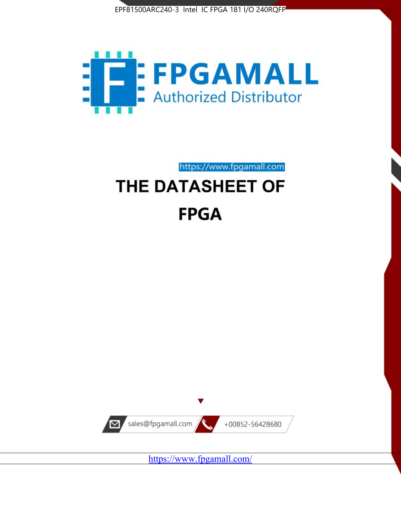



https://www.fpgamall.com

# THE DATASHEET OF **FPGA**



<https://www.fpgamall.com/>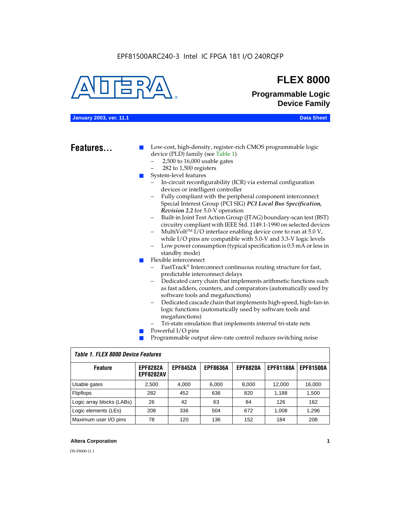

# **FLEX 8000**

**Programmable Logic Device Family**

# **January 2003, ver. 11.1 Data Sheet**

# Features...

Low-cost, high-density, register-rich CMOS programmable logic device (PLD) family (see Table 1)

- 2,500 to 16,000 usable gates
- 282 to 1,500 registers
- System-level features
	- In-circuit reconfigurability (ICR) via external configuration devices or intelligent controller
	- Fully compliant with the peripheral component interconnect Special Interest Group (PCI SIG) *PCI Local Bus Specification, Revision 2.2* for 5.0-V operation
	- Built-in Joint Test Action Group (JTAG) boundary-scan test (BST) circuitry compliant with IEEE Std. 1149.1-1990 on selected devices
	- MultiVolt<sup>™</sup> I/O interface enabling device core to run at  $5.0 V$ , while I/O pins are compatible with 5.0-V and 3.3-V logic levels
	- Low power consumption (typical specification is 0.5 mA or less in standby mode)
- Flexible interconnect
	- FastTrack<sup>®</sup> Interconnect continuous routing structure for fast, predictable interconnect delays
	- Dedicated carry chain that implements arithmetic functions such as fast adders, counters, and comparators (automatically used by software tools and megafunctions)
	- Dedicated cascade chain that implements high-speed, high-fan-in logic functions (automatically used by software tools and megafunctions)
	- Tri-state emulation that implements internal tri-state nets
- Powerful I/O pins
- Programmable output slew-rate control reduces switching noise

| <b>Feature</b>            | <b>EPF8282A</b><br><b>EPF8282AV</b> | <b>EPF8452A</b> | <b>EPF8636A</b> | <b>EPF8820A</b> | <b>EPF81188A</b> | <b>EPF81500A</b> |  |  |  |  |
|---------------------------|-------------------------------------|-----------------|-----------------|-----------------|------------------|------------------|--|--|--|--|
| Usable gates              | 2,500                               | 4.000           | 6,000           | 8,000           | 12.000           | 16,000           |  |  |  |  |
| Flipflops                 | 282                                 | 452             | 636             | 820             | 1.188            | 1,500            |  |  |  |  |
| Logic array blocks (LABs) | 26                                  | 42              | 63              | 84              | 126              | 162              |  |  |  |  |
| Logic elements (LEs)      | 208                                 | 336             | 504             | 672             | 1.008            | 1,296            |  |  |  |  |
| Maximum user I/O pins     | 78                                  | 120             | 136             | 152             | 184              | 208              |  |  |  |  |

# *Table 1. FLEX 8000 Device Features*

# **Altera Corporation 1**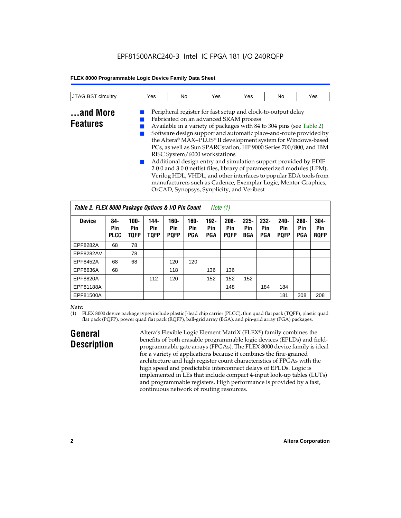| <b>JTAG BST</b><br>circuitry | Yes | No | Yes | Yes | No | Yes |
|------------------------------|-----|----|-----|-----|----|-----|
|                              |     |    |     |     |    |     |

# **...and More Features**

Fabricated on an advanced SRAM process ■ Available in a variety of packages with 84 to 304 pins (see Table 2) Software design support and automatic place-and-route provided by the Altera® MAX+PLUS® II development system for Windows-based PCs, as well as Sun SPARCstation, HP 9000 Series 700/800, and IBM RISC System/6000 workstations Additional design entry and simulation support provided by EDIF

Peripheral register for fast setup and clock-to-output delay

2 0 0 and 3 0 0 netlist files, library of parameterized modules (LPM), Verilog HDL, VHDL, and other interfaces to popular EDA tools from manufacturers such as Cadence, Exemplar Logic, Mentor Graphics, OrCAD, Synopsys, Synplicity, and Veribest

| Table 2. FLEX 8000 Package Options & I/O Pin Count<br>Note $(1)$ |                           |                               |                            |                               |                              |                              |                               |                              |                              |                               |                              |                               |
|------------------------------------------------------------------|---------------------------|-------------------------------|----------------------------|-------------------------------|------------------------------|------------------------------|-------------------------------|------------------------------|------------------------------|-------------------------------|------------------------------|-------------------------------|
| <b>Device</b>                                                    | 84-<br>Pin<br><b>PLCC</b> | $100 -$<br>Pin<br><b>TQFP</b> | 144-<br>Pin<br><b>TQFP</b> | $160 -$<br>Pin<br><b>PQFP</b> | $160 -$<br>Pin<br><b>PGA</b> | $192 -$<br>Pin<br><b>PGA</b> | $208 -$<br>Pin<br><b>POFP</b> | $225 -$<br>Pin<br><b>BGA</b> | $232 -$<br>Pin<br><b>PGA</b> | $240 -$<br>Pin<br><b>PQFP</b> | $280 -$<br>Pin<br><b>PGA</b> | $304 -$<br>Pin<br><b>ROFP</b> |
| EPF8282A                                                         | 68                        | 78                            |                            |                               |                              |                              |                               |                              |                              |                               |                              |                               |
| EPF8282AV                                                        |                           | 78                            |                            |                               |                              |                              |                               |                              |                              |                               |                              |                               |
| EPF8452A                                                         | 68                        | 68                            |                            | 120                           | 120                          |                              |                               |                              |                              |                               |                              |                               |
| EPF8636A                                                         | 68                        |                               |                            | 118                           |                              | 136                          | 136                           |                              |                              |                               |                              |                               |
| EPF8820A                                                         |                           |                               | 112                        | 120                           |                              | 152                          | 152                           | 152                          |                              |                               |                              |                               |
| EPF81188A                                                        |                           |                               |                            |                               |                              |                              | 148                           |                              | 184                          | 184                           |                              |                               |
| EPF81500A                                                        |                           |                               |                            |                               |                              |                              |                               |                              |                              | 181                           | 208                          | 208                           |

# *Note:*

(1) FLEX 8000 device package types include plastic J-lead chip carrier (PLCC), thin quad flat pack (TQFP), plastic quad flat pack (PQFP), power quad flat pack (RQFP), ball-grid array (BGA), and pin-grid array (PGA) packages.

# **General Description**

Altera's Flexible Logic Element MatriX (FLEX®) family combines the benefits of both erasable programmable logic devices (EPLDs) and fieldprogrammable gate arrays (FPGAs). The FLEX 8000 device family is ideal for a variety of applications because it combines the fine-grained architecture and high register count characteristics of FPGAs with the high speed and predictable interconnect delays of EPLDs. Logic is implemented in LEs that include compact 4-input look-up tables (LUTs) and programmable registers. High performance is provided by a fast, continuous network of routing resources.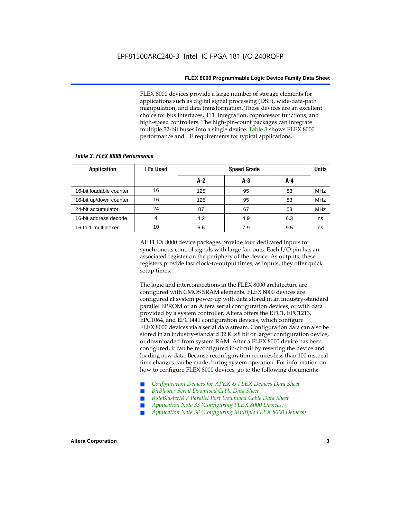FLEX 8000 devices provide a large number of storage elements for applications such as digital signal processing (DSP), wide-data-path manipulation, and data transformation. These devices are an excellent choice for bus interfaces, TTL integration, coprocessor functions, and high-speed controllers. The high-pin-count packages can integrate multiple 32-bit buses into a single device. Table 3 shows FLEX 8000 performance and LE requirements for typical applications.

| Tadie S. Flex ouuu perioriitailce |                 |       |                    |     |            |  |  |  |  |  |  |
|-----------------------------------|-----------------|-------|--------------------|-----|------------|--|--|--|--|--|--|
| <b>Application</b>                | <b>LEs Used</b> |       | <b>Speed Grade</b> |     |            |  |  |  |  |  |  |
|                                   |                 | $A-2$ | A-3                | A-4 |            |  |  |  |  |  |  |
| 16-bit loadable counter           | 16              | 125   | 95                 | 83  | <b>MHz</b> |  |  |  |  |  |  |
| 16-bit up/down counter            | 16              | 125   | 95                 | 83  | <b>MHz</b> |  |  |  |  |  |  |
| 24-bit accumulator                | 24              | 87    | 67                 | 58  | <b>MHz</b> |  |  |  |  |  |  |
| 16-bit address decode             | 4               | 4.2   | 4.9                | 6.3 | ns         |  |  |  |  |  |  |
| 16-to-1 multiplexer               | 10              | 6.6   | 7.9                | 9.5 | ns         |  |  |  |  |  |  |

# *Table 3. FLEX 8000 Performance*

All FLEX 8000 device packages provide four dedicated inputs for synchronous control signals with large fan-outs. Each I/O pin has an associated register on the periphery of the device. As outputs, these registers provide fast clock-to-output times; as inputs, they offer quick setup times.

The logic and interconnections in the FLEX 8000 architecture are configured with CMOS SRAM elements. FLEX 8000 devices are configured at system power-up with data stored in an industry-standard parallel EPROM or an Altera serial configuration devices, or with data provided by a system controller. Altera offers the EPC1, EPC1213, EPC1064, and EPC1441 configuration devices, which configure FLEX 8000 devices via a serial data stream. Configuration data can also be stored in an industry-standard  $32 K \times 8$  bit or larger configuration device, or downloaded from system RAM. After a FLEX 8000 device has been configured, it can be reconfigured in-circuit by resetting the device and loading new data. Because reconfiguration requires less than 100 ms, realtime changes can be made during system operation. For information on how to configure FLEX 8000 devices, go to the following documents:

- Configuration Devices for APEX & FLEX Devices Data Sheet
- $BitBlaster$  Serial Download Cable Data Sheet
- ByteBlasterMV Parallel Port Download Cable Data Sheet
- *Application Note 33 (Configuring FLEX 8000 Devices)*
- *Application Note 38 (Configuring Multiple FLEX 8000 Devices)*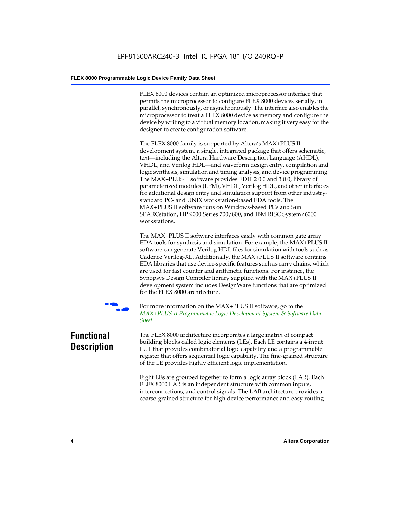FLEX 8000 devices contain an optimized microprocessor interface that permits the microprocessor to configure FLEX 8000 devices serially, in parallel, synchronously, or asynchronously. The interface also enables the microprocessor to treat a FLEX 8000 device as memory and configure the device by writing to a virtual memory location, making it very easy for the designer to create configuration software.

The FLEX 8000 family is supported by Altera's MAX+PLUS II development system, a single, integrated package that offers schematic, text—including the Altera Hardware Description Language (AHDL), VHDL, and Verilog HDL—and waveform design entry, compilation and logic synthesis, simulation and timing analysis, and device programming. The MAX+PLUS II software provides EDIF 2 0 0 and 3 0 0, library of parameterized modules (LPM), VHDL, Verilog HDL, and other interfaces for additional design entry and simulation support from other industrystandard PC- and UNIX workstation-based EDA tools. The MAX+PLUS II software runs on Windows-based PCs and Sun SPARCstation, HP 9000 Series 700/800, and IBM RISC System/6000 workstations.

The MAX+PLUS II software interfaces easily with common gate array EDA tools for synthesis and simulation. For example, the MAX+PLUS II software can generate Verilog HDL files for simulation with tools such as Cadence Verilog-XL. Additionally, the MAX+PLUS II software contains EDA libraries that use device-specific features such as carry chains, which are used for fast counter and arithmetic functions. For instance, the Synopsys Design Compiler library supplied with the MAX+PLUS II development system includes DesignWare functions that are optimized for the FLEX 8000 architecture.



For more information on the MAX+PLUS II software, go to the *MAX+PLUS II Programmable Logic Development System & Software Data Sheet*.

# **Functional Description**

The FLEX 8000 architecture incorporates a large matrix of compact building blocks called logic elements (LEs). Each LE contains a 4-input LUT that provides combinatorial logic capability and a programmable register that offers sequential logic capability. The fine-grained structure of the LE provides highly efficient logic implementation.

Eight LEs are grouped together to form a logic array block (LAB). Each FLEX 8000 LAB is an independent structure with common inputs, interconnections, and control signals. The LAB architecture provides a coarse-grained structure for high device performance and easy routing.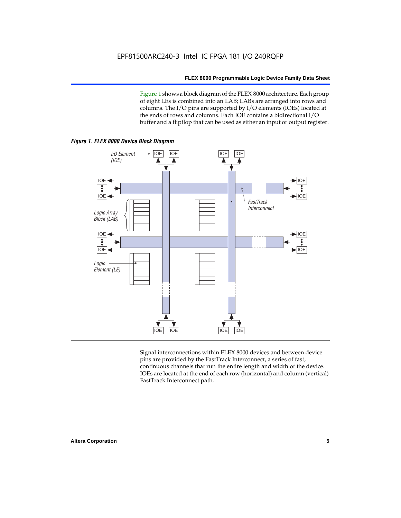Figure 1 shows a block diagram of the FLEX 8000 architecture. Each group of eight LEs is combined into an LAB; LABs are arranged into rows and columns. The I/O pins are supported by I/O elements (IOEs) located at the ends of rows and columns. Each IOE contains a bidirectional I/O buffer and a flipflop that can be used as either an input or output register.



Signal interconnections within FLEX 8000 devices and between device pins are provided by the FastTrack Interconnect, a series of fast, continuous channels that run the entire length and width of the device. IOEs are located at the end of each row (horizontal) and column (vertical) FastTrack Interconnect path.

# **Altera Corporation 5**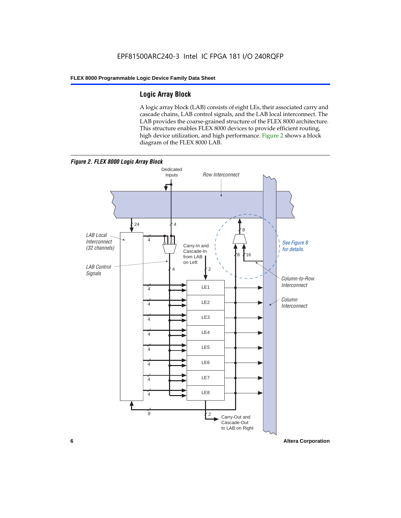# **Logic Array Block**

A logic array block (LAB) consists of eight LEs, their associated carry and cascade chains, LAB control signals, and the LAB local interconnect. The LAB provides the coarse-grained structure of the FLEX 8000 architecture. This structure enables FLEX 8000 devices to provide efficient routing, high device utilization, and high performance. Figure 2 shows a block diagram of the FLEX 8000 LAB.



**6 Altera Corporation**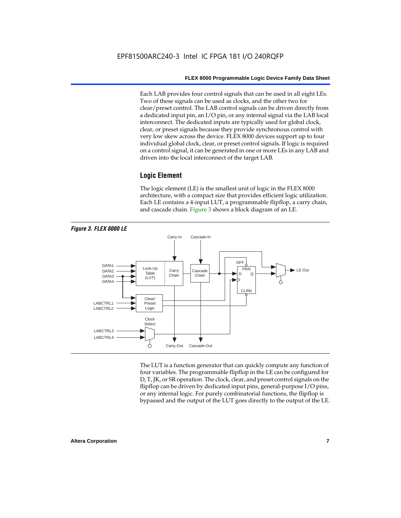Each LAB provides four control signals that can be used in all eight LEs. Two of these signals can be used as clocks, and the other two for clear/preset control. The LAB control signals can be driven directly from a dedicated input pin, an I/O pin, or any internal signal via the LAB local interconnect. The dedicated inputs are typically used for global clock, clear, or preset signals because they provide synchronous control with very low skew across the device. FLEX 8000 devices support up to four individual global clock, clear, or preset control signals. If logic is required on a control signal, it can be generated in one or more LEs in any LAB and driven into the local interconnect of the target LAB.

# **Logic Element**

The logic element (LE) is the smallest unit of logic in the FLEX 8000 architecture, with a compact size that provides efficient logic utilization. Each LE contains a 4-input LUT, a programmable flipflop, a carry chain, and cascade chain. Figure 3 shows a block diagram of an LE.



The LUT is a function generator that can quickly compute any function of four variables. The programmable flipflop in the LE can be configured for D, T, JK, or SR operation. The clock, clear, and preset control signals on the flipflop can be driven by dedicated input pins, general-purpose I/O pins, or any internal logic. For purely combinatorial functions, the flipflop is bypassed and the output of the LUT goes directly to the output of the LE.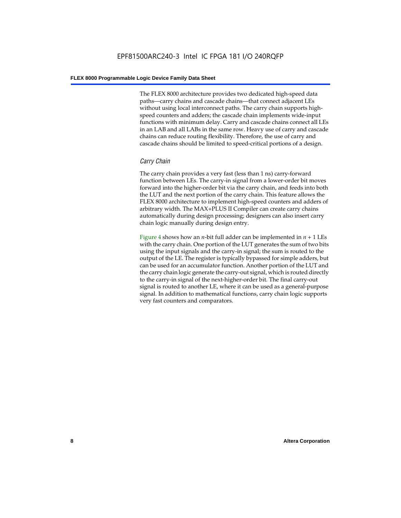The FLEX 8000 architecture provides two dedicated high-speed data paths—carry chains and cascade chains—that connect adjacent LEs without using local interconnect paths. The carry chain supports highspeed counters and adders; the cascade chain implements wide-input functions with minimum delay. Carry and cascade chains connect all LEs in an LAB and all LABs in the same row. Heavy use of carry and cascade chains can reduce routing flexibility. Therefore, the use of carry and cascade chains should be limited to speed-critical portions of a design.

# *Carry Chain*

The carry chain provides a very fast (less than 1 ns) carry-forward function between LEs. The carry-in signal from a lower-order bit moves forward into the higher-order bit via the carry chain, and feeds into both the LUT and the next portion of the carry chain. This feature allows the FLEX 8000 architecture to implement high-speed counters and adders of arbitrary width. The MAX+PLUS II Compiler can create carry chains automatically during design processing; designers can also insert carry chain logic manually during design entry.

Figure 4 shows how an *n*-bit full adder can be implemented in *n* + 1 LEs with the carry chain. One portion of the LUT generates the sum of two bits using the input signals and the carry-in signal; the sum is routed to the output of the LE. The register is typically bypassed for simple adders, but can be used for an accumulator function. Another portion of the LUT and the carry chain logic generate the carry-out signal, which is routed directly to the carry-in signal of the next-higher-order bit. The final carry-out signal is routed to another LE, where it can be used as a general-purpose signal. In addition to mathematical functions, carry chain logic supports very fast counters and comparators.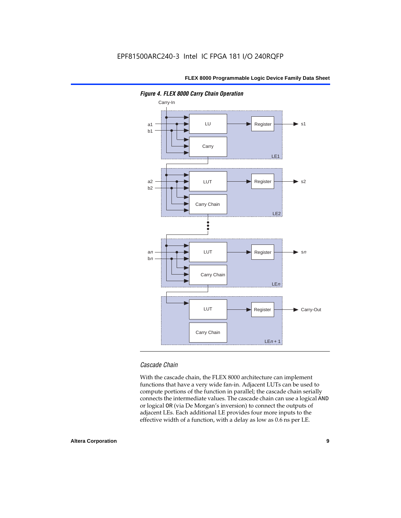

*Figure 4. FLEX 8000 Carry Chain Operation*

# *Cascade Chain*

With the cascade chain, the FLEX 8000 architecture can implement functions that have a very wide fan-in. Adjacent LUTs can be used to compute portions of the function in parallel; the cascade chain serially connects the intermediate values. The cascade chain can use a logical AND or logical OR (via De Morgan's inversion) to connect the outputs of adjacent LEs. Each additional LE provides four more inputs to the effective width of a function, with a delay as low as 0.6 ns per LE.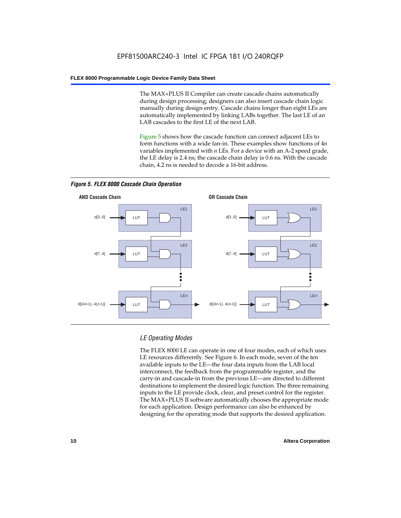The MAX+PLUS II Compiler can create cascade chains automatically during design processing; designers can also insert cascade chain logic manually during design entry. Cascade chains longer than eight LEs are automatically implemented by linking LABs together. The last LE of an LAB cascades to the first LE of the next LAB.

Figure 5 shows how the cascade function can connect adjacent LEs to form functions with a wide fan-in. These examples show functions of 4*n* variables implemented with *n* LEs. For a device with an A-2 speed grade, the LE delay is 2.4 ns; the cascade chain delay is 0.6 ns. With the cascade chain, 4.2 ns is needed to decode a 16-bit address.



*Figure 5. FLEX 8000 Cascade Chain Operation*

# *LE Operating Modes*

The FLEX 8000 LE can operate in one of four modes, each of which uses LE resources differently. See Figure 6. In each mode, seven of the ten available inputs to the LE—the four data inputs from the LAB local interconnect, the feedback from the programmable register, and the carry-in and cascade-in from the previous LE—are directed to different destinations to implement the desired logic function. The three remaining inputs to the LE provide clock, clear, and preset control for the register. The MAX+PLUS II software automatically chooses the appropriate mode for each application. Design performance can also be enhanced by designing for the operating mode that supports the desired application.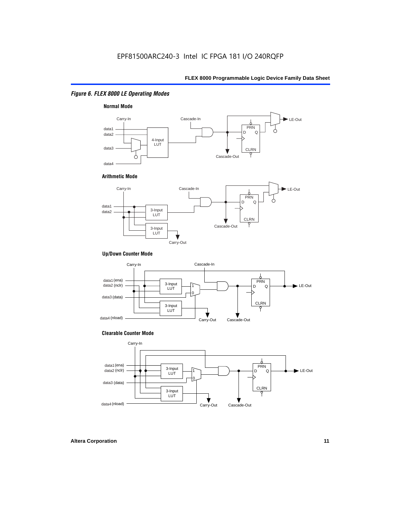# *Figure 6. FLEX 8000 LE Operating Modes*



# **Arithmetic Mode**



# **Up/Down Counter Mode**



### **Clearable Counter Mode**

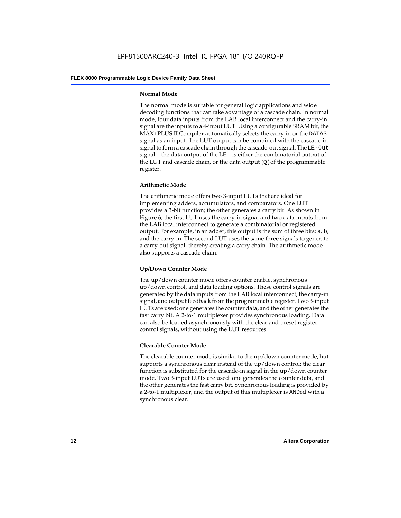# **Normal Mode**

The normal mode is suitable for general logic applications and wide decoding functions that can take advantage of a cascade chain. In normal mode, four data inputs from the LAB local interconnect and the carry-in signal are the inputs to a 4-input LUT. Using a configurable SRAM bit, the MAX+PLUS II Compiler automatically selects the carry-in or the DATA3 signal as an input. The LUT output can be combined with the cascade-in signal to form a cascade chain through the cascade-out signal. The LE-Out signal—the data output of the LE—is either the combinatorial output of the LUT and cascade chain, or the data output  $(Q)$  of the programmable register.

# **Arithmetic Mode**

The arithmetic mode offers two 3-input LUTs that are ideal for implementing adders, accumulators, and comparators. One LUT provides a 3-bit function; the other generates a carry bit. As shown in Figure 6, the first LUT uses the carry-in signal and two data inputs from the LAB local interconnect to generate a combinatorial or registered output. For example, in an adder, this output is the sum of three bits: a, b, and the carry-in. The second LUT uses the same three signals to generate a carry-out signal, thereby creating a carry chain. The arithmetic mode also supports a cascade chain.

# **Up/Down Counter Mode**

The up/down counter mode offers counter enable, synchronous up/down control, and data loading options. These control signals are generated by the data inputs from the LAB local interconnect, the carry-in signal, and output feedback from the programmable register. Two 3-input LUTs are used: one generates the counter data, and the other generates the fast carry bit. A 2-to-1 multiplexer provides synchronous loading. Data can also be loaded asynchronously with the clear and preset register control signals, without using the LUT resources.

# **Clearable Counter Mode**

The clearable counter mode is similar to the up/down counter mode, but supports a synchronous clear instead of the up/down control; the clear function is substituted for the cascade-in signal in the up/down counter mode. Two 3-input LUTs are used: one generates the counter data, and the other generates the fast carry bit. Synchronous loading is provided by a 2-to-1 multiplexer, and the output of this multiplexer is ANDed with a synchronous clear.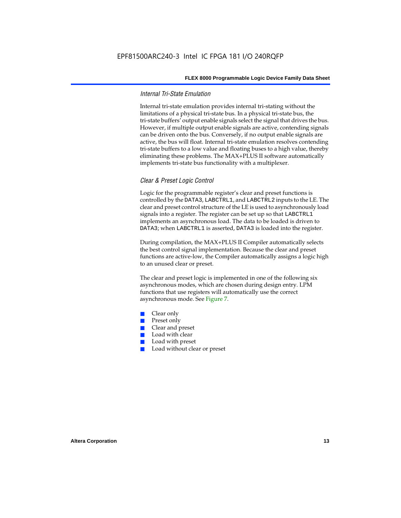# *Internal Tri-State Emulation*

Internal tri-state emulation provides internal tri-stating without the limitations of a physical tri-state bus. In a physical tri-state bus, the tri-state buffers' output enable signals select the signal that drives the bus. However, if multiple output enable signals are active, contending signals can be driven onto the bus. Conversely, if no output enable signals are active, the bus will float. Internal tri-state emulation resolves contending tri-state buffers to a low value and floating buses to a high value, thereby eliminating these problems. The MAX+PLUS II software automatically implements tri-state bus functionality with a multiplexer.

# *Clear & Preset Logic Control*

Logic for the programmable register's clear and preset functions is controlled by the DATA3, LABCTRL1, and LABCTRL2 inputs to the LE. The clear and preset control structure of the LE is used to asynchronously load signals into a register. The register can be set up so that LABCTRL1 implements an asynchronous load. The data to be loaded is driven to DATA3; when LABCTRL1 is asserted, DATA3 is loaded into the register.

During compilation, the MAX+PLUS II Compiler automatically selects the best control signal implementation. Because the clear and preset functions are active-low, the Compiler automatically assigns a logic high to an unused clear or preset.

The clear and preset logic is implemented in one of the following six asynchronous modes, which are chosen during design entry. LPM functions that use registers will automatically use the correct asynchronous mode. See Figure 7.

- Clear only
- Preset only
- Clear and preset
- Load with clear
- Load with preset
- Load without clear or preset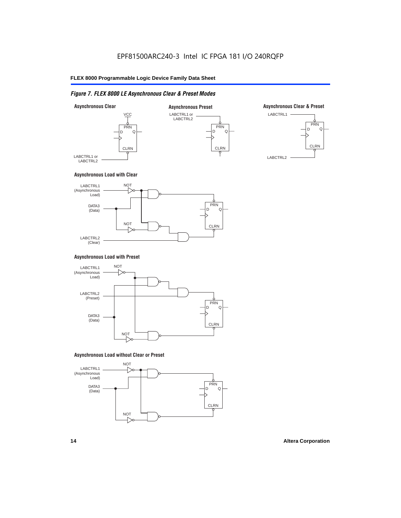# *Figure 7. FLEX 8000 LE Asynchronous Clear & Preset Modes*



# **Asynchronous Load with Clear**



# **Asynchronous Load with Preset**



# **Asynchronous Load without Clear or Preset**

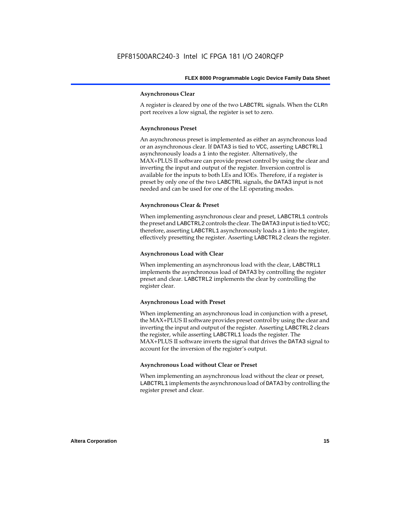## **Asynchronous Clear**

A register is cleared by one of the two LABCTRL signals. When the CLRn port receives a low signal, the register is set to zero.

# **Asynchronous Preset**

An asynchronous preset is implemented as either an asynchronous load or an asynchronous clear. If DATA3 is tied to VCC, asserting LABCTRLl asynchronously loads a 1 into the register. Alternatively, the MAX+PLUS II software can provide preset control by using the clear and inverting the input and output of the register. Inversion control is available for the inputs to both LEs and IOEs. Therefore, if a register is preset by only one of the two LABCTRL signals, the DATA3 input is not needed and can be used for one of the LE operating modes.

# **Asynchronous Clear & Preset**

When implementing asynchronous clear and preset, LABCTRL1 controls the preset and LABCTRL2 controls the clear. The DATA3 input is tied to VCC; therefore, asserting LABCTRL1 asynchronously loads a 1 into the register, effectively presetting the register. Asserting LABCTRL2 clears the register.

### **Asynchronous Load with Clear**

When implementing an asynchronous load with the clear, LABCTRL1 implements the asynchronous load of DATA3 by controlling the register preset and clear. LABCTRL2 implements the clear by controlling the register clear.

# **Asynchronous Load with Preset**

When implementing an asynchronous load in conjunction with a preset, the MAX+PLUS II software provides preset control by using the clear and inverting the input and output of the register. Asserting LABCTRL2 clears the register, while asserting LABCTRL1 loads the register. The MAX+PLUS II software inverts the signal that drives the DATA3 signal to account for the inversion of the register's output.

# **Asynchronous Load without Clear or Preset**

When implementing an asynchronous load without the clear or preset, LABCTRL1 implements the asynchronous load of DATA3 by controlling the register preset and clear.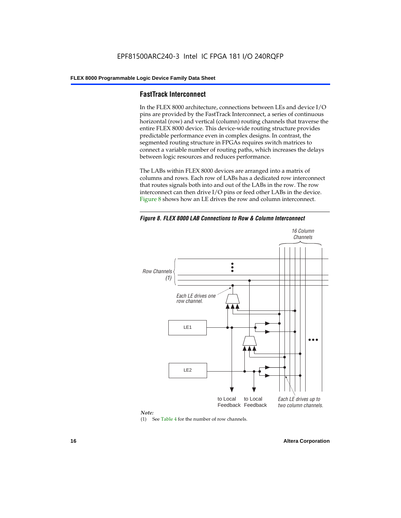# **FastTrack Interconnect**

In the FLEX 8000 architecture, connections between LEs and device I/O pins are provided by the FastTrack Interconnect, a series of continuous horizontal (row) and vertical (column) routing channels that traverse the entire FLEX 8000 device. This device-wide routing structure provides predictable performance even in complex designs. In contrast, the segmented routing structure in FPGAs requires switch matrices to connect a variable number of routing paths, which increases the delays between logic resources and reduces performance.

The LABs within FLEX 8000 devices are arranged into a matrix of columns and rows. Each row of LABs has a dedicated row interconnect that routes signals both into and out of the LABs in the row. The row interconnect can then drive I/O pins or feed other LABs in the device. Figure 8 shows how an LE drives the row and column interconnect.

*Figure 8. FLEX 8000 LAB Connections to Row & Column Interconnect*





(1) See Table 4 for the number of row channels.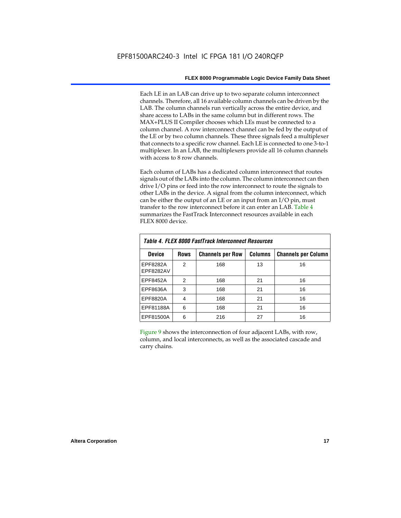Each LE in an LAB can drive up to two separate column interconnect channels. Therefore, all 16 available column channels can be driven by the LAB. The column channels run vertically across the entire device, and share access to LABs in the same column but in different rows. The MAX+PLUS II Compiler chooses which LEs must be connected to a column channel. A row interconnect channel can be fed by the output of the LE or by two column channels. These three signals feed a multiplexer that connects to a specific row channel. Each LE is connected to one 3-to-1 multiplexer. In an LAB, the multiplexers provide all 16 column channels with access to 8 row channels.

Each column of LABs has a dedicated column interconnect that routes signals out of the LABs into the column. The column interconnect can then drive I/O pins or feed into the row interconnect to route the signals to other LABs in the device. A signal from the column interconnect, which can be either the output of an LE or an input from an I/O pin, must transfer to the row interconnect before it can enter an LAB. Table 4 summarizes the FastTrack Interconnect resources available in each FLEX 8000 device.

| Table 4. FLEX 8000 FastTrack Interconnect Resources |             |                         |                |                            |  |  |  |  |  |  |
|-----------------------------------------------------|-------------|-------------------------|----------------|----------------------------|--|--|--|--|--|--|
| Device                                              | <b>Rows</b> | <b>Channels per Row</b> | <b>Columns</b> | <b>Channels per Column</b> |  |  |  |  |  |  |
| EPF8282A<br><b>EPF8282AV</b>                        | 2           | 168                     | 13             | 16                         |  |  |  |  |  |  |
| EPF8452A                                            | 2           | 168                     | 21             | 16                         |  |  |  |  |  |  |
| EPF8636A                                            | 3           | 168                     | 21             | 16                         |  |  |  |  |  |  |
| EPF8820A                                            | 4           | 168                     | 21             | 16                         |  |  |  |  |  |  |
| EPF81188A                                           | 6           | 168                     | 21             | 16                         |  |  |  |  |  |  |
| EPF81500A                                           | 6           | 216                     | 27             | 16                         |  |  |  |  |  |  |

Figure 9 shows the interconnection of four adjacent LABs, with row, column, and local interconnects, as well as the associated cascade and carry chains.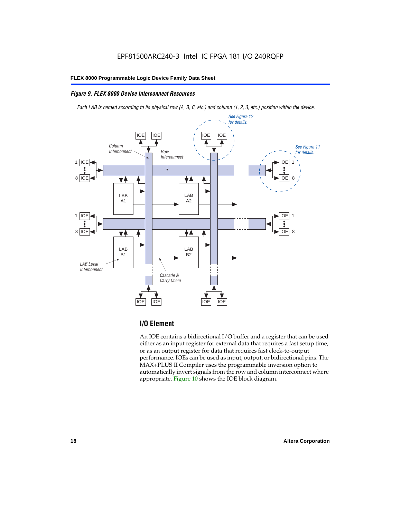# *Figure 9. FLEX 8000 Device Interconnect Resources*

*Each LAB is named according to its physical row (A, B, C, etc.) and column (1, 2, 3, etc.) position within the device.*



# **I/O Element**

An IOE contains a bidirectional I/O buffer and a register that can be used either as an input register for external data that requires a fast setup time, or as an output register for data that requires fast clock-to-output performance. IOEs can be used as input, output, or bidirectional pins. The MAX+PLUS II Compiler uses the programmable inversion option to automatically invert signals from the row and column interconnect where appropriate. Figure 10 shows the IOE block diagram.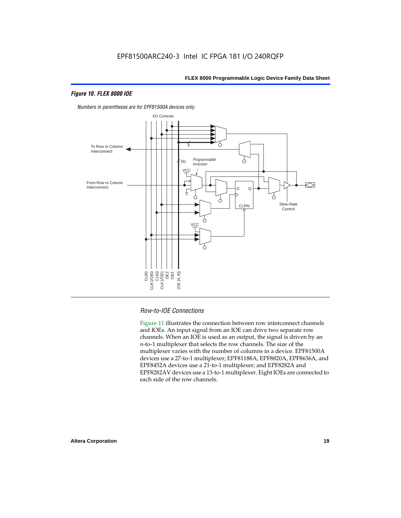# *Figure 10. FLEX 8000 IOE*



*Numbers in parentheses are for EPF81500A devices only.*

# *Row-to-IOE Connections*

Figure 11 illustrates the connection between row interconnect channels and IOEs. An input signal from an IOE can drive two separate row channels. When an IOE is used as an output, the signal is driven by an *n*-to-1 multiplexer that selects the row channels. The size of the multiplexer varies with the number of columns in a device. EPF81500A devices use a 27-to-1 multiplexer; EPF81188A, EPF8820A, EPF8636A, and EPF8452A devices use a 21-to-1 multiplexer; and EPF8282A and EPF8282AV devices use a 13-to-1 multiplexer. Eight IOEs are connected to each side of the row channels.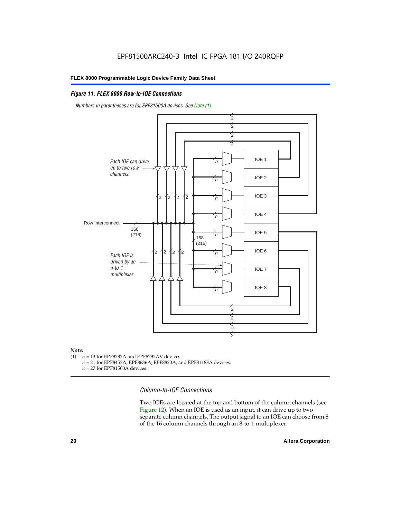# *Figure 11. FLEX 8000 Row-to-IOE Connections*

*Numbers in parentheses are for EPF81500A devices. See Note (1).*



# *Note:*<br>(1) *n*

- $n = 13$  for EPF8282A and EPF8282AV devices.
	- *n* = 21 for EPF8452A, EPF8636A, EPF8820A, and EPF81188A devices.
	- *n* = 27 for EPF81500A devices.

*Column-to-IOE Connections*

Two IOEs are located at the top and bottom of the column channels (see Figure 12). When an IOE is used as an input, it can drive up to two separate column channels. The output signal to an IOE can choose from 8 of the 16 column channels through an 8-to-1 multiplexer.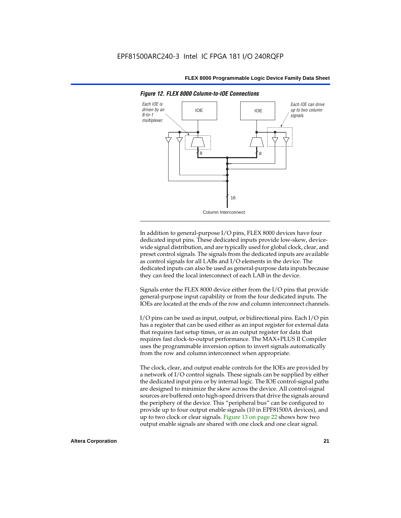

*Figure 12. FLEX 8000 Column-to-IOE Connections*

In addition to general-purpose I/O pins, FLEX 8000 devices have four dedicated input pins. These dedicated inputs provide low-skew, devicewide signal distribution, and are typically used for global clock, clear, and preset control signals. The signals from the dedicated inputs are available as control signals for all LABs and I/O elements in the device. The dedicated inputs can also be used as general-purpose data inputs because they can feed the local interconnect of each LAB in the device.

Signals enter the FLEX 8000 device either from the I/O pins that provide general-purpose input capability or from the four dedicated inputs. The IOEs are located at the ends of the row and column interconnect channels.

I/O pins can be used as input, output, or bidirectional pins. Each I/O pin has a register that can be used either as an input register for external data that requires fast setup times, or as an output register for data that requires fast clock-to-output performance. The MAX+PLUS II Compiler uses the programmable inversion option to invert signals automatically from the row and column interconnect when appropriate.

The clock, clear, and output enable controls for the IOEs are provided by a network of I/O control signals. These signals can be supplied by either the dedicated input pins or by internal logic. The IOE control-signal paths are designed to minimize the skew across the device. All control-signal sources are buffered onto high-speed drivers that drive the signals around the periphery of the device. This "peripheral bus" can be configured to provide up to four output enable signals (10 in EPF81500A devices), and up to two clock or clear signals. Figure 13 on page 22 shows how two output enable signals are shared with one clock and one clear signal.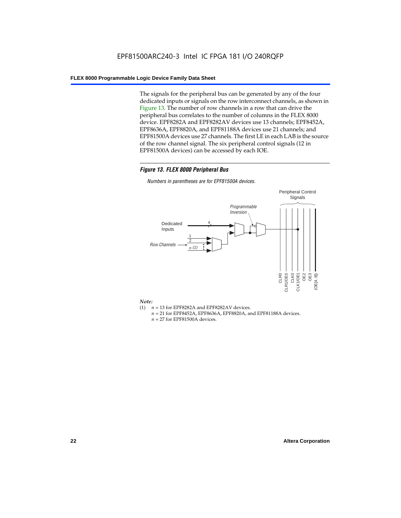The signals for the peripheral bus can be generated by any of the four dedicated inputs or signals on the row interconnect channels, as shown in Figure 13. The number of row channels in a row that can drive the peripheral bus correlates to the number of columns in the FLEX 8000 device. EPF8282A and EPF8282AV devices use 13 channels; EPF8452A, EPF8636A, EPF8820A, and EPF81188A devices use 21 channels; and EPF81500A devices use 27 channels. The first LE in each LAB is the source of the row channel signal. The six peripheral control signals (12 in EPF81500A devices) can be accessed by each IOE.

# *Figure 13. FLEX 8000 Peripheral Bus*

*Numbers in parentheses are for EPF81500A devices.*



### *Note:*

- (1)  $n = 13$  for EPF8282A and EPF8282AV devices.
	- *n* = 21 for EPF8452A, EPF8636A, EPF8820A, and EPF81188A devices.
	- *n* = 27 for EPF81500A devices.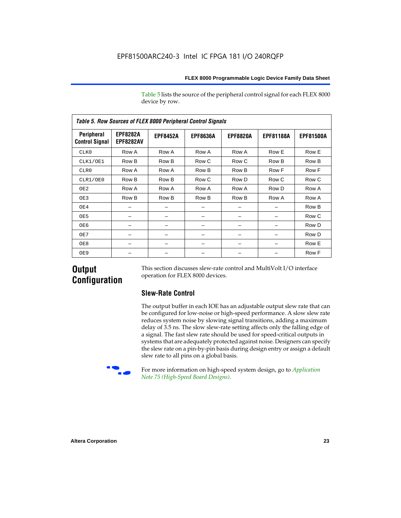Table 5 lists the source of the peripheral control signal for each FLEX 8000 device by row.

| <b>Table 5. Row Sources of FLEX 8000 Peripheral Control Signals</b> |                                     |                 |                 |                 |                  |                  |  |  |  |  |  |
|---------------------------------------------------------------------|-------------------------------------|-----------------|-----------------|-----------------|------------------|------------------|--|--|--|--|--|
| Peripheral<br><b>Control Signal</b>                                 | <b>EPF8282A</b><br><b>EPF8282AV</b> | <b>EPF8452A</b> | <b>EPF8636A</b> | <b>EPF8820A</b> | <b>EPF81188A</b> | <b>EPF81500A</b> |  |  |  |  |  |
| CLK0                                                                | Row A                               | Row A           | Row A           | Row A           | Row E            | Row E            |  |  |  |  |  |
| CLK1/OE1                                                            | Row B                               | Row B           | Row C           | Row C           | Row B            | Row B            |  |  |  |  |  |
| CLR0                                                                | Row A                               | Row A           | Row B           | Row B           | Row F            | Row F            |  |  |  |  |  |
| CLR1/OE0                                                            | Row B                               | Row B           | Row C           | Row D           | Row C            | Row C            |  |  |  |  |  |
| OE <sub>2</sub>                                                     | Row A                               | Row A           | Row A           | Row A           | Row D            | Row A            |  |  |  |  |  |
| OE3                                                                 | Row B                               | Row B           | Row B           | Row B           | Row A            | Row A            |  |  |  |  |  |
| OE4                                                                 |                                     |                 |                 |                 |                  | Row B            |  |  |  |  |  |
| OE5                                                                 |                                     |                 |                 |                 |                  | Row C            |  |  |  |  |  |
| OE6                                                                 |                                     |                 |                 |                 |                  | Row D            |  |  |  |  |  |
| OE7                                                                 |                                     |                 |                 |                 |                  | Row D            |  |  |  |  |  |
| OE8                                                                 |                                     |                 |                 |                 |                  | Row E            |  |  |  |  |  |
| OE9                                                                 |                                     |                 |                 |                 |                  | Row F            |  |  |  |  |  |

# **Output Configuration**

This section discusses slew-rate control and MultiVolt I/O interface operation for FLEX 8000 devices.

# **Slew-Rate Control**

The output buffer in each IOE has an adjustable output slew rate that can be configured for low-noise or high-speed performance. A slow slew rate reduces system noise by slowing signal transitions, adding a maximum delay of 3.5 ns. The slow slew-rate setting affects only the falling edge of a signal. The fast slew rate should be used for speed-critical outputs in systems that are adequately protected against noise. Designers can specify the slew rate on a pin-by-pin basis during design entry or assign a default slew rate to all pins on a global basis.



For more information on high-speed system design, go to *Application Note 75 (High-Speed Board Designs)*.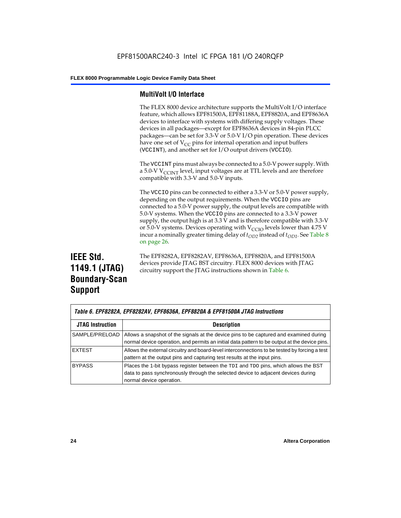# **MultiVolt I/O Interface**

The FLEX 8000 device architecture supports the MultiVolt I/O interface feature, which allows EPF81500A, EPF81188A, EPF8820A, and EPF8636A devices to interface with systems with differing supply voltages. These devices in all packages—except for EPF8636A devices in 84-pin PLCC packages—can be set for 3.3-V or 5.0-V I/O pin operation. These devices have one set of  $V_{CC}$  pins for internal operation and input buffers (VCCINT), and another set for I/O output drivers (VCCIO).

The VCCINT pins must always be connected to a 5.0-V power supply. With a 5.0-V  $V_{\text{CCINT}}$  level, input voltages are at TTL levels and are therefore compatible with 3.3-V and 5.0-V inputs.

The VCCIO pins can be connected to either a 3.3-V or 5.0-V power supply, depending on the output requirements. When the VCCIO pins are connected to a 5.0-V power supply, the output levels are compatible with 5.0-V systems. When the VCCIO pins are connected to a 3.3-V power supply, the output high is at 3.3 V and is therefore compatible with 3.3-V or 5.0-V systems. Devices operating with  $V_{\text{C}CD}$  levels lower than 4.75 V incur a nominally greater timing delay of  $t_{OD2}$  instead of  $t_{OD1}$ . See Table 8 on page 26.

# **IEEE Std. 1149.1 (JTAG) Boundary-Scan Support**

The EPF8282A, EPF8282AV, EPF8636A, EPF8820A, and EPF81500A devices provide JTAG BST circuitry. FLEX 8000 devices with JTAG circuitry support the JTAG instructions shown in Table 6.

| Table 6. EPF8282A, EPF8282AV, EPF8636A, EPF8820A & EPF81500A JTAG Instructions |                                                                                                                                                                                                      |  |  |  |  |  |
|--------------------------------------------------------------------------------|------------------------------------------------------------------------------------------------------------------------------------------------------------------------------------------------------|--|--|--|--|--|
| <b>JTAG Instruction</b>                                                        | <b>Description</b>                                                                                                                                                                                   |  |  |  |  |  |
| SAMPLE/PRELOAD                                                                 | Allows a snapshot of the signals at the device pins to be captured and examined during<br>normal device operation, and permits an initial data pattern to be output at the device pins.              |  |  |  |  |  |
| <b>EXTEST</b>                                                                  | Allows the external circuitry and board-level interconnections to be tested by forcing a test<br>pattern at the output pins and capturing test results at the input pins.                            |  |  |  |  |  |
| <b>BYPASS</b>                                                                  | Places the 1-bit bypass register between the TDI and TDO pins, which allows the BST<br>data to pass synchronously through the selected device to adjacent devices during<br>normal device operation. |  |  |  |  |  |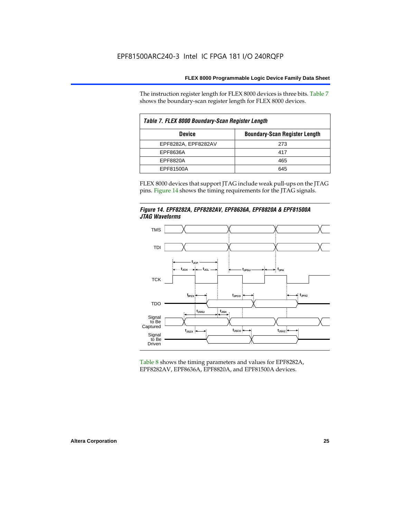The instruction register length for FLEX 8000 devices is three bits. Table 7 shows the boundary-scan register length for FLEX 8000 devices.

| Table 7. FLEX 8000 Boundary-Scan Register Length |                                      |  |  |  |  |  |  |
|--------------------------------------------------|--------------------------------------|--|--|--|--|--|--|
| <b>Device</b>                                    | <b>Boundary-Scan Register Length</b> |  |  |  |  |  |  |
| EPF8282A, EPF8282AV                              | 273                                  |  |  |  |  |  |  |
| EPF8636A                                         | 417                                  |  |  |  |  |  |  |
| EPF8820A                                         | 465                                  |  |  |  |  |  |  |
| EPF81500A                                        | 645                                  |  |  |  |  |  |  |

FLEX 8000 devices that support JTAG include weak pull-ups on the JTAG pins. Figure 14 shows the timing requirements for the JTAG signals.





Table 8 shows the timing parameters and values for EPF8282A, EPF8282AV, EPF8636A, EPF8820A, and EPF81500A devices.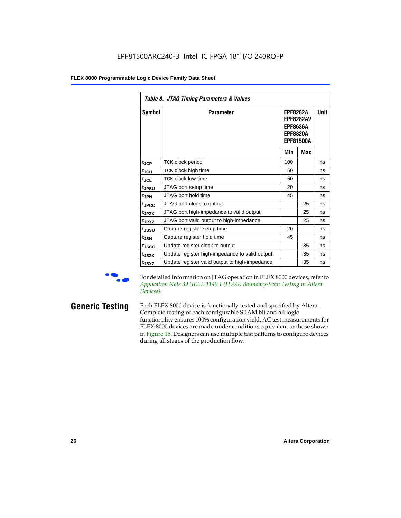| Table 8. JTAG Timing Parameters & Values |                                                                                                            |     |             |    |  |  |  |  |  |  |
|------------------------------------------|------------------------------------------------------------------------------------------------------------|-----|-------------|----|--|--|--|--|--|--|
| Symbol                                   | Parameter<br><b>EPF8282A</b><br><b>EPF8282AV</b><br><b>EPF8636A</b><br><b>EPF8820A</b><br><b>EPF81500A</b> |     | <b>Unit</b> |    |  |  |  |  |  |  |
|                                          |                                                                                                            | Min | Max         |    |  |  |  |  |  |  |
| $t_{JCP}$                                | TCK clock period                                                                                           | 100 |             | ns |  |  |  |  |  |  |
| $t_{JCH}$                                | TCK clock high time                                                                                        | 50  |             | ns |  |  |  |  |  |  |
| $t_{JCL}$                                | <b>TCK clock low time</b>                                                                                  | 50  |             | ns |  |  |  |  |  |  |
| t <sub>JPSU</sub>                        | JTAG port setup time                                                                                       | 20  |             | ns |  |  |  |  |  |  |
| t <sub>JPH</sub>                         | JTAG port hold time                                                                                        | 45  |             | ns |  |  |  |  |  |  |
| t <sub>JPCO</sub>                        | JTAG port clock to output                                                                                  |     | 25          | ns |  |  |  |  |  |  |
| t <sub>JPZX</sub>                        | JTAG port high-impedance to valid output                                                                   |     | 25          | ns |  |  |  |  |  |  |
| t <sub>JPXZ</sub>                        | JTAG port valid output to high-impedance                                                                   |     | 25          | ns |  |  |  |  |  |  |
| tjssu                                    | Capture register setup time                                                                                | 20  |             | ns |  |  |  |  |  |  |
| t <sub>JSH</sub>                         | Capture register hold time                                                                                 | 45  |             | ns |  |  |  |  |  |  |
| t <sub>JSCO</sub>                        | Update register clock to output                                                                            |     | 35          | ns |  |  |  |  |  |  |
| t <sub>JSZX</sub>                        | Update register high-impedance to valid output                                                             |     | 35          | ns |  |  |  |  |  |  |
| t <sub>JSXZ</sub>                        | Update register valid output to high-impedance                                                             |     | 35          | ns |  |  |  |  |  |  |

For detailed information on JTAG operation in FLEX 8000 devices, refer to *Application Note 39 (IEEE 1149.1 (JTAG) Boundary-Scan Testing in Altera Devices)*.

**Generic Testing** Each FLEX 8000 device is functionally tested and specified by Altera. Complete testing of each configurable SRAM bit and all logic functionality ensures 100% configuration yield. AC test measurements for FLEX 8000 devices are made under conditions equivalent to those shown in Figure 15. Designers can use multiple test patterns to configure devices during all stages of the production flow.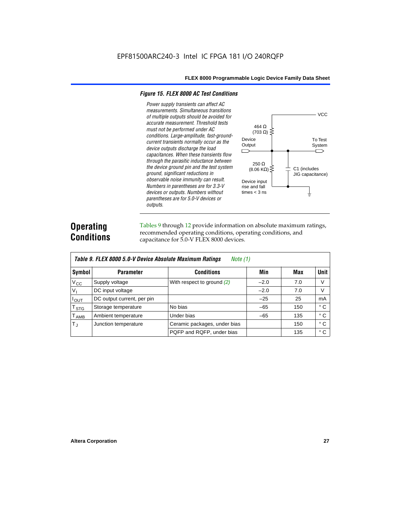# *Figure 15. FLEX 8000 AC Test Conditions*

*Power supply transients can affect AC measurements. Simultaneous transitions*  **VCC** *of multiple outputs should be avoided for accurate measurement. Threshold tests*  464 Ω *must not be performed under AC*   $(703 \Omega)$ *conditions. Large-amplitude, fast-ground-*Device To Test *current transients normally occur as the*  **Output** System *device outputs discharge the load*   $\Box$ ⌒ *capacitances. When these transients flow through the parasitic inductance between*  250 Ω *the device ground pin and the test system*   $(8.06 \text{ K}\Omega)$ C1 (includes *ground, significant reductions in*  JIG capacitance) *observable noise immunity can result.*  Device input *Numbers in parentheses are for 3.3-V*  rise and fall *devices or outputs. Numbers without*  times  $<$  3 ns ╧ *parentheses are for 5.0-V devices or outputs.*

# **Operating Conditions**

Tables 9 through 12 provide information on absolute maximum ratings, recommended operating conditions, operating conditions, and capacitance for 5.0-V FLEX 8000 devices.

|                             | Table 9. FLEX 8000 5.0-V Device Absolute Maximum Ratings<br>Note (1) |                              |        |     |              |  |  |  |  |  |  |
|-----------------------------|----------------------------------------------------------------------|------------------------------|--------|-----|--------------|--|--|--|--|--|--|
| Symbol                      | <b>Parameter</b>                                                     | <b>Conditions</b>            | Min    | Max | <b>Unit</b>  |  |  |  |  |  |  |
| $V_{\rm CC}$                | Supply voltage                                                       | With respect to ground $(2)$ | $-2.0$ | 7.0 | V            |  |  |  |  |  |  |
| $V_{1}$                     | DC input voltage                                                     |                              | $-2.0$ | 7.0 | V            |  |  |  |  |  |  |
| $I_{\text{OUT}}$            | DC output current, per pin                                           |                              | $-25$  | 25  | mA           |  |  |  |  |  |  |
| T <sub>STG</sub>            | Storage temperature                                                  | No bias                      | $-65$  | 150 | ° C          |  |  |  |  |  |  |
| $\mathsf{T}_{\mathsf{AMB}}$ | Ambient temperature                                                  | Under bias                   | $-65$  | 135 | $^{\circ}$ C |  |  |  |  |  |  |
| $T_{\rm J}$                 | Junction temperature                                                 | Ceramic packages, under bias |        | 150 | $^{\circ}$ C |  |  |  |  |  |  |
|                             |                                                                      | PQFP and RQFP, under bias    |        | 135 | $^{\circ}$ C |  |  |  |  |  |  |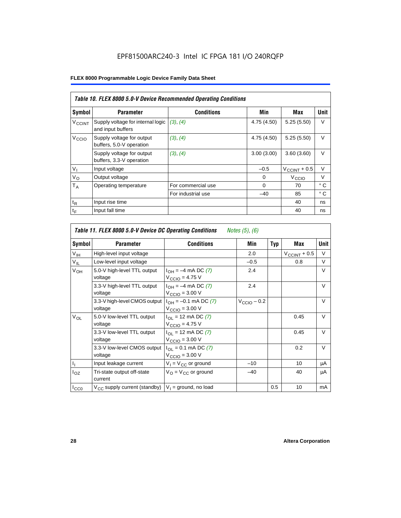|                          | Table 10. FLEX 8000 5.0-V Device Recommended Operating Conditions |                    |             |                          |              |  |  |  |  |  |
|--------------------------|-------------------------------------------------------------------|--------------------|-------------|--------------------------|--------------|--|--|--|--|--|
| Symbol                   | <b>Parameter</b>                                                  | <b>Conditions</b>  | Min         | Max                      | Unit         |  |  |  |  |  |
| <b>V<sub>CCINT</sub></b> | Supply voltage for internal logic<br>and input buffers            | (3), (4)           | 4.75 (4.50) | 5.25(5.50)               | $\vee$       |  |  |  |  |  |
| V <sub>CCIO</sub>        | Supply voltage for output<br>buffers, 5.0-V operation             | (3), (4)           | 4.75 (4.50) | 5.25(5.50)               | $\vee$       |  |  |  |  |  |
|                          | Supply voltage for output<br>buffers, 3.3-V operation             | (3), (4)           | 3.00(3.00)  | 3.60(3.60)               | V            |  |  |  |  |  |
| $V_{I}$                  | Input voltage                                                     |                    | $-0.5$      | $V_{\text{CCINT}} + 0.5$ | $\vee$       |  |  |  |  |  |
| $V_{\rm O}$              | Output voltage                                                    |                    | 0           | V <sub>CCIO</sub>        | $\vee$       |  |  |  |  |  |
| $T_A$                    | Operating temperature                                             | For commercial use | $\Omega$    | 70                       | $^{\circ}$ C |  |  |  |  |  |
|                          |                                                                   | For industrial use | $-40$       | 85                       | $^{\circ}$ C |  |  |  |  |  |
| $t_{R}$                  | Input rise time                                                   |                    |             | 40                       | ns           |  |  |  |  |  |
| $t_F$                    | Input fall time                                                   |                    |             | 40                       | ns           |  |  |  |  |  |

| Table 11. FLEX 8000 5.0-V Device DC Operating Conditions<br>Notes (5), (6) |                                         |                                                                               |                         |            |                       |        |  |  |  |  |
|----------------------------------------------------------------------------|-----------------------------------------|-------------------------------------------------------------------------------|-------------------------|------------|-----------------------|--------|--|--|--|--|
| Symbol                                                                     | <b>Parameter</b>                        | <b>Conditions</b>                                                             | Min                     | <b>Typ</b> | Max                   | Unit   |  |  |  |  |
| $V_{\text{IH}}$                                                            | High-level input voltage                |                                                                               | 2.0                     |            | $V_{\rm CCINT}$ + 0.5 | V      |  |  |  |  |
| $V_{IL}$                                                                   | Low-level input voltage                 |                                                                               | $-0.5$                  |            | 0.8                   | V      |  |  |  |  |
| V <sub>OH</sub>                                                            | 5.0-V high-level TTL output<br>voltage  | $I_{OH} = -4$ mA DC (7)<br>$V_{\text{CCIO}} = 4.75 V$                         | 2.4                     |            |                       | $\vee$ |  |  |  |  |
|                                                                            | 3.3-V high-level TTL output<br>voltage  | $I_{OH} = -4$ mA DC (7)<br>$V_{\text{CCIO}} = 3.00 \text{ V}$                 | 2.4                     |            |                       | $\vee$ |  |  |  |  |
|                                                                            | 3.3-V high-level CMOS output<br>voltage | $I_{OH} = -0.1$ mA DC (7)<br>$V_{\text{CCIO}} = 3.00 \text{ V}$               | $V_{\text{CCIO}} - 0.2$ |            |                       | V      |  |  |  |  |
| $V_{OL}$                                                                   | 5.0-V low-level TTL output<br>voltage   | $I_{\Omega}$ = 12 mA DC (7)<br>$V_{\text{CCIO}} = 4.75 V$                     |                         |            | 0.45                  | V      |  |  |  |  |
|                                                                            | 3.3-V low-level TTL output<br>voltage   | $I_{\text{OI}} = 12 \text{ mA DC } (7)$<br>$V_{\text{CCIO}} = 3.00 \text{ V}$ |                         |            | 0.45                  | $\vee$ |  |  |  |  |
|                                                                            | 3.3-V low-level CMOS output<br>voltage  | $I_{\Omega I} = 0.1$ mA DC (7)<br>$V_{\text{CCIO}} = 3.00 \text{ V}$          |                         |            | 0.2                   | V      |  |  |  |  |
| $I_1$                                                                      | Input leakage current                   | $V_1 = V_{CC}$ or ground                                                      | $-10$                   |            | 10                    | μA     |  |  |  |  |
| $I_{OZ}$                                                                   | Tri-state output off-state<br>current   | $V_{\Omega}$ = $V_{\Omega}$ or ground                                         | $-40$                   |            | 40                    | μA     |  |  |  |  |
| ICCO                                                                       | $V_{CC}$ supply current (standby)       | $V_1$ = ground, no load                                                       |                         | 0.5        | 10                    | mA     |  |  |  |  |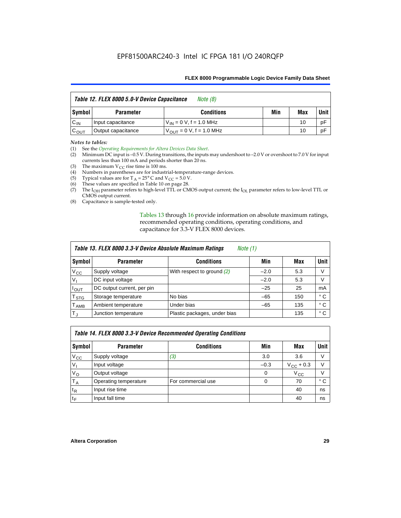| Table 12. FLEX 8000 5.0-V Device Capacitance<br>Note (8) |                    |                               |     |     |             |
|----------------------------------------------------------|--------------------|-------------------------------|-----|-----|-------------|
| Symbol                                                   | <b>Parameter</b>   | <b>Conditions</b>             | Min | Max | <b>Unit</b> |
| $C_{IN}$                                                 | Input capacitance  | $V_{IN} = 0 V, f = 1.0 MHz$   |     | 10  | рF          |
| $C_{\text{OUT}}$                                         | Output capacitance | $V_{OIII}$ = 0 V, f = 1.0 MHz |     | 10  | рF          |

# *Notes to tables:*

(1) See the *Operating Requirements for Altera Devices Data Sheet*.

- (2) Minimum DC input is –0.5 V. During transitions, the inputs may undershoot to –2.0 V or overshoot to 7.0 V for input currents less than 100 mA and periods shorter than 20 ns.
- (3) The maximum  $V_{CC}$  rise time is 100 ms.
- (4) Numbers in parentheses are for industrial-temperature-range devices.
- (5) Typical values are for  $T_A = 25^\circ$  C and  $V_{CC} = 5.0$  V.
- (6) These values are specified in Table 10 on page 28.
- (7) The  $I_{OH}$  parameter refers to high-level TTL or CMOS output current; the  $I_{OL}$  parameter refers to low-level TTL or CMOS output current.
- (8) Capacitance is sample-tested only.

Tables 13 through 16 provide information on absolute maximum ratings, recommended operating conditions, operating conditions, and capacitance for 3.3-V FLEX 8000 devices.

| Table 13. FLEX 8000 3.3-V Device Absolute Maximum Ratings<br><i>Note</i> $(1)$ |                            |                              |        |     |              |  |  |
|--------------------------------------------------------------------------------|----------------------------|------------------------------|--------|-----|--------------|--|--|
| Symbol                                                                         | <b>Parameter</b>           | <b>Conditions</b>            | Min    | Max | <b>Unit</b>  |  |  |
| $V_{\text{CC}}$                                                                | Supply voltage             | With respect to ground (2)   | $-2.0$ | 5.3 | V            |  |  |
| V <sub>1</sub>                                                                 | DC input voltage           |                              | $-2.0$ | 5.3 | V            |  |  |
| $I_{\mathsf{OUT}}$                                                             | DC output current, per pin |                              | $-25$  | 25  | mA           |  |  |
| T <sub>STG</sub>                                                               | Storage temperature        | No bias                      | $-65$  | 150 | ۰c           |  |  |
| <b>TAMB</b>                                                                    | Ambient temperature        | Under bias                   | $-65$  | 135 | $^{\circ}$ C |  |  |
| $T_J$                                                                          | Junction temperature       | Plastic packages, under bias |        | 135 | ° C          |  |  |

| Table 14. FLEX 8000 3.3-V Device Recommended Operating Conditions |                       |                    |          |                    |        |  |  |  |
|-------------------------------------------------------------------|-----------------------|--------------------|----------|--------------------|--------|--|--|--|
| Symbol                                                            | <b>Parameter</b>      | <b>Conditions</b>  | Min      | Max                | Unit   |  |  |  |
| $V_{\rm CC}$                                                      | Supply voltage        | (3)                | 3.0      | 3.6                | V      |  |  |  |
| $V_{\parallel}$                                                   | Input voltage         |                    | $-0.3$   | $V_{\rm CC}$ + 0.3 | $\vee$ |  |  |  |
| $V_{\rm O}$                                                       | Output voltage        |                    | 0        | $V_{\rm CC}$       | V      |  |  |  |
| $T_A$                                                             | Operating temperature | For commercial use | $\Omega$ | 70                 | ۰c     |  |  |  |
| $t_{R}$                                                           | Input rise time       |                    |          | 40                 | ns     |  |  |  |
| $t_F$                                                             | Input fall time       |                    |          | 40                 | ns     |  |  |  |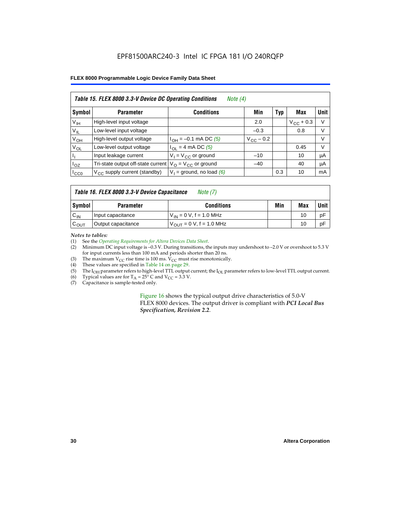| Table 15. FLEX 8000 3.3-V Device DC Operating Conditions<br>Note $(4)$ |                                          |                                          |                    |     |                    |             |  |
|------------------------------------------------------------------------|------------------------------------------|------------------------------------------|--------------------|-----|--------------------|-------------|--|
| Symbol                                                                 | <b>Parameter</b>                         | <b>Conditions</b>                        | Min                | Typ | Max                | <b>Unit</b> |  |
| V <sub>IH</sub>                                                        | High-level input voltage                 |                                          | 2.0                |     | $V_{\rm CC}$ + 0.3 | $\vee$      |  |
| $V_{IL}$                                                               | Low-level input voltage                  |                                          | $-0.3$             |     | 0.8                | V           |  |
| $V_{OH}$                                                               | High-level output voltage                | $I_{OH} = -0.1$ mA DC (5)                | $V_{\rm CC}$ – 0.2 |     |                    | V           |  |
| $V_{OL}$                                                               | Low-level output voltage                 | $I_{OL}$ = 4 mA DC (5)                   |                    |     | 0.45               | $\vee$      |  |
| Пı                                                                     | Input leakage current                    | $V_1 = V_{CC}$ or ground                 | $-10$              |     | 10                 | μA          |  |
| $I_{OZ}$                                                               | Tri-state output off-state current       | $V_{\text{O}} = V_{\text{CC}}$ or ground | $-40$              |     | 40                 | μA          |  |
| ICCO                                                                   | $V_{\text{CC}}$ supply current (standby) | $V_1$ = ground, no load (6)              |                    | 0.3 | 10                 | mA          |  |

| Table 16. FLEX 8000 3.3-V Device Capacitance | Note $(7)$ |
|----------------------------------------------|------------|
|----------------------------------------------|------------|

| Symbol           | <b>Parameter</b>   | <b>Conditions</b>                   | Min | Max | Unit |
|------------------|--------------------|-------------------------------------|-----|-----|------|
| $C_{IN}$         | Input capacitance  | $V_{IN} = 0 V$ , f = 1.0 MHz        |     | 10  | рF   |
| $c_{\text{OUT}}$ | Output capacitance | $V_{\text{OUT}} = 0 V, f = 1.0 MHz$ |     | 10  | pF   |

*Notes to tables:*

(1) See the *Operating Requirements for Altera Devices Data Sheet*.

(2) Minimum DC input voltage is –0.3 V. During transitions, the inputs may undershoot to –2.0 V or overshoot to 5.3 V for input currents less than 100 mA and periods shorter than 20 ns.

(3) The maximum  $V_{CC}$  rise time is 100 ms.  $V_{CC}$  must rise monotonically.<br>(4) These values are specified in Table 14 on page 29.

These values are specified in Table 14 on page 29.

(5) The I<sub>OH</sub> parameter refers to high-level TTL output current; the I<sub>OL</sub> parameter refers to low-level TTL output current.<br>(6) Typical values are for T<sub>A</sub> = 25° C and V<sub>CC</sub> = 3.3 V.

(6) Typical values are for  $T_A = 25^\circ$  C and  $V_{CC} = 3.3$  V.<br>(7) Capacitance is sample-tested only.

Capacitance is sample-tested only.

Figure 16 shows the typical output drive characteristics of 5.0-V FLEX 8000 devices. The output driver is compliant with *PCI Local Bus Specification, Revision 2.2*.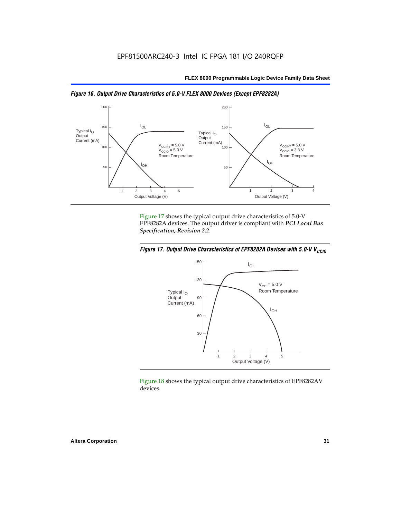



Figure 17 shows the typical output drive characteristics of 5.0-V EPF8282A devices. The output driver is compliant with *PCI Local Bus Specification, Revision 2.2*.





Figure 18 shows the typical output drive characteristics of EPF8282AV devices.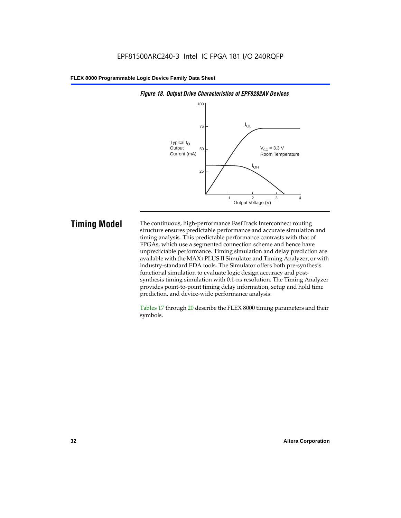

# *Figure 18. Output Drive Characteristics of EPF8282AV Devices*

**Timing Model** The continuous, high-performance FastTrack Interconnect routing structure ensures predictable performance and accurate simulation and timing analysis. This predictable performance contrasts with that of FPGAs, which use a segmented connection scheme and hence have unpredictable performance. Timing simulation and delay prediction are available with the MAX+PLUS II Simulator and Timing Analyzer, or with industry-standard EDA tools. The Simulator offers both pre-synthesis functional simulation to evaluate logic design accuracy and postsynthesis timing simulation with 0.1-ns resolution. The Timing Analyzer provides point-to-point timing delay information, setup and hold time prediction, and device-wide performance analysis.

> Tables 17 through 20 describe the FLEX 8000 timing parameters and their symbols.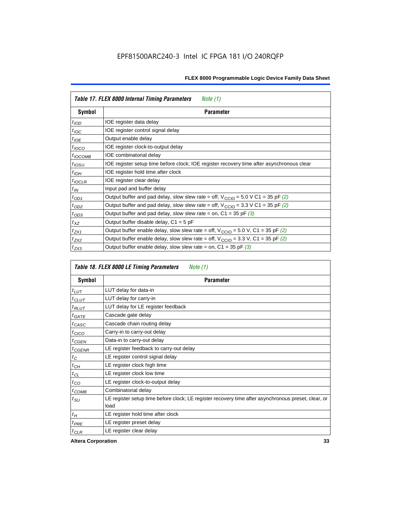| Table 17. FLEX 8000 Internal Timing Parameters<br>Note $(1)$ |                                                                                                              |  |  |  |  |
|--------------------------------------------------------------|--------------------------------------------------------------------------------------------------------------|--|--|--|--|
| Symbol                                                       | <b>Parameter</b>                                                                                             |  |  |  |  |
| $t_{\text{IOD}}$                                             | IOE register data delay                                                                                      |  |  |  |  |
| $t_{\text{IOC}}$                                             | IOE register control signal delay                                                                            |  |  |  |  |
| $t_{IOE}$                                                    | Output enable delay                                                                                          |  |  |  |  |
| $t_{IOCO}$                                                   | IOE register clock-to-output delay                                                                           |  |  |  |  |
| $t_{IOCOMB}$                                                 | IOE combinatorial delay                                                                                      |  |  |  |  |
| $t_{IOSU}$                                                   | IOE register setup time before clock; IOE register recovery time after asynchronous clear                    |  |  |  |  |
| $t_{IOH}$                                                    | IOE register hold time after clock                                                                           |  |  |  |  |
| $t_{IOCLR}$                                                  | IOE register clear delay                                                                                     |  |  |  |  |
| $t_{IN}$                                                     | Input pad and buffer delay                                                                                   |  |  |  |  |
| $t_{OD1}$                                                    | Output buffer and pad delay, slow slew rate = off, $V_{\text{CCIO}} = 5.0 \text{ V C1} = 35 \text{ pF } (2)$ |  |  |  |  |
| $t_{OD2}$                                                    | Output buffer and pad delay, slow slew rate = off, $V_{\text{CCIO}} = 3.3 \text{ V C1} = 35 \text{ pF}$ (2)  |  |  |  |  |
| $t_{OD3}$                                                    | Output buffer and pad delay, slow slew rate = on, $C1 = 35$ pF (3)                                           |  |  |  |  |
| $t_{XZ}$                                                     | Output buffer disable delay, $C1 = 5$ pF                                                                     |  |  |  |  |
| $t_{ZX1}$                                                    | Output buffer enable delay, slow slew rate = off, $V_{\text{CCIO}} = 5.0$ V, C1 = 35 pF (2)                  |  |  |  |  |
| $t_{ZX2}$                                                    | Output buffer enable delay, slow slew rate = off, $V_{\text{CCIO}} = 3.3$ V, C1 = 35 pF (2)                  |  |  |  |  |
| $t_{ZX3}$                                                    | Output buffer enable delay, slow slew rate = on, $C1 = 35$ pF (3)                                            |  |  |  |  |

| Table 18. FLEX 8000 LE Timing Parameters<br>Note (1) |                                                                                                             |  |  |  |  |
|------------------------------------------------------|-------------------------------------------------------------------------------------------------------------|--|--|--|--|
| Symbol                                               | <b>Parameter</b>                                                                                            |  |  |  |  |
| $t_{LUT}$                                            | LUT delay for data-in                                                                                       |  |  |  |  |
| $t_{CLUT}$                                           | LUT delay for carry-in                                                                                      |  |  |  |  |
| $t_{RLUT}$                                           | LUT delay for LE register feedback                                                                          |  |  |  |  |
| $t$ GATE                                             | Cascade gate delay                                                                                          |  |  |  |  |
| $t_{CASC}$                                           | Cascade chain routing delay                                                                                 |  |  |  |  |
| $t_{CICO}$                                           | Carry-in to carry-out delay                                                                                 |  |  |  |  |
| $t_{CGEN}$                                           | Data-in to carry-out delay                                                                                  |  |  |  |  |
| ${}^{t}$ CGENR                                       | LE register feedback to carry-out delay                                                                     |  |  |  |  |
| $t_C$                                                | LE register control signal delay                                                                            |  |  |  |  |
| $t_{CH}$                                             | LE register clock high time                                                                                 |  |  |  |  |
| $t_{CL}$                                             | LE register clock low time                                                                                  |  |  |  |  |
| $t_{CO}$                                             | LE register clock-to-output delay                                                                           |  |  |  |  |
| $t_{COMB}$                                           | Combinatorial delay                                                                                         |  |  |  |  |
| t <sub>SU</sub>                                      | LE register setup time before clock; LE register recovery time after asynchronous preset, clear, or<br>load |  |  |  |  |
| $t_H$                                                | LE register hold time after clock                                                                           |  |  |  |  |
| $t_{PRE}$                                            | LE register preset delay                                                                                    |  |  |  |  |
| $t_{CLR}$                                            | LE register clear delay                                                                                     |  |  |  |  |

**Altera Corporation 33**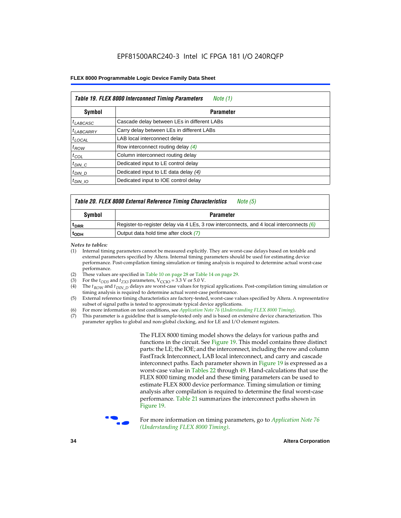| Table 19. FLEX 8000 Interconnect Timing Parameters<br>Note (1) |                                             |  |  |  |  |
|----------------------------------------------------------------|---------------------------------------------|--|--|--|--|
| Symbol                                                         | <b>Parameter</b>                            |  |  |  |  |
| <sup>t</sup> LABCASC                                           | Cascade delay between LEs in different LABs |  |  |  |  |
| $t_{LABCARRY}$                                                 | Carry delay between LEs in different LABs   |  |  |  |  |
| $t_{\text{LOCAL}}$                                             | LAB local interconnect delay                |  |  |  |  |
| $t_{ROW}$                                                      | Row interconnect routing delay (4)          |  |  |  |  |
| $t_{COL}$                                                      | Column interconnect routing delay           |  |  |  |  |
| $t_{DIN}$ $C$                                                  | Dedicated input to LE control delay         |  |  |  |  |
| $t_{DIN}$ D                                                    | Dedicated input to LE data delay (4)        |  |  |  |  |
| $t_{DIN}$ 10                                                   | Dedicated input to IOE control delay        |  |  |  |  |

# *Table 20. FLEX 8000 External Reference Timing Characteristics Note (5)*

| Symbol           | Parameter                                                                                  |
|------------------|--------------------------------------------------------------------------------------------|
| <sup>T</sup> DRR | Register-to-register delay via 4 LEs, 3 row interconnects, and 4 local interconnects $(6)$ |
| <sup>L</sup> ODH | Output data hold time after clock (7)                                                      |

*Notes to tables:*

- (1) Internal timing parameters cannot be measured explicitly. They are worst-case delays based on testable and external parameters specified by Altera. Internal timing parameters should be used for estimating device performance. Post-compilation timing simulation or timing analysis is required to determine actual worst-case performance.
- (2) These values are specified in Table 10 on page 28 or Table 14 on page 29.<br>(3) For the  $t_{OD3}$  and  $t_{ZX3}$  parameters,  $V_{CCIO} = 3.3$  V or 5.0 V.
- (3) For the  $t_{OD3}$  and  $t_{ZX3}$  parameters,  $V_{CCIO} = 3.3$  V or 5.0 V.<br>(4) The  $t_{ROM}$  and  $t_{DIN}$   $_D$  delays are worst-case values for type
- The *t<sub>ROW</sub>* and *t<sub>DIN\_D</sub>* delays are worst-case values for typical applications. Post-compilation timing simulation or timing analysis is required to determine actual worst-case performance.
- (5) External reference timing characteristics are factory-tested, worst-case values specified by Altera. A representative subset of signal paths is tested to approximate typical device applications.
- (6) For more information on test conditions, see *Application Note 76* (*Understanding FLEX 8000 Timing*).
- (7) This parameter is a guideline that is sample-tested only and is based on extensive device characterization. This parameter applies to global and non-global clocking, and for LE and I/O element registers.

The FLEX 8000 timing model shows the delays for various paths and functions in the circuit. See Figure 19. This model contains three distinct parts: the LE; the IOE; and the interconnect, including the row and column FastTrack Interconnect, LAB local interconnect, and carry and cascade interconnect paths. Each parameter shown in Figure 19 is expressed as a worst-case value in Tables 22 through 49. Hand-calculations that use the FLEX 8000 timing model and these timing parameters can be used to estimate FLEX 8000 device performance. Timing simulation or timing analysis after compilation is required to determine the final worst-case performance. Table 21 summarizes the interconnect paths shown in Figure 19.



f For more information on timing parameters, go to *Application Note 76 (Understanding FLEX 8000 Timing)*.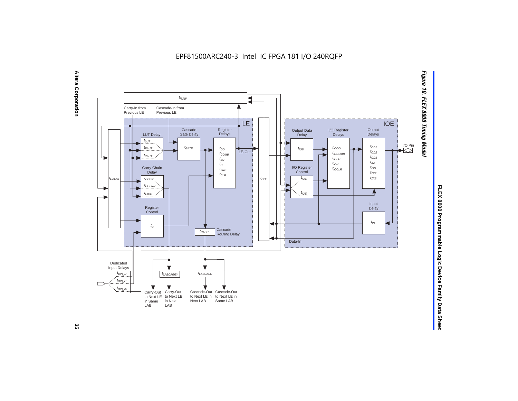EPF81500ARC240-3 Intel IC FPGA 181 I/O 240RQFP





# FLEX 8000 Programmable Logic Device Family Data Sheet **FLEX 8000 Programmable Logic Device Family Data Sheet**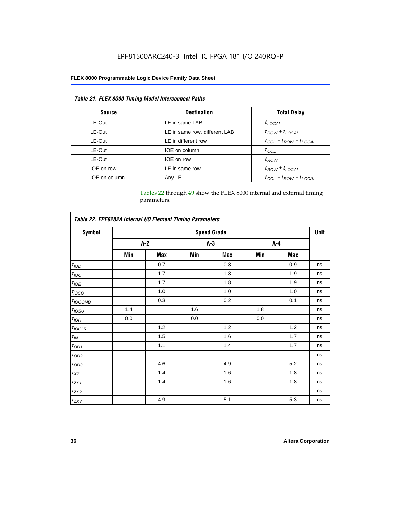| <b>Table 21. FLEX 8000 Timing Model Interconnect Paths</b> |                               |                                 |  |  |  |  |
|------------------------------------------------------------|-------------------------------|---------------------------------|--|--|--|--|
| <b>Source</b>                                              | <b>Destination</b>            | <b>Total Delay</b>              |  |  |  |  |
| LE-Out                                                     | LE in same LAB                | $t_{LOCAL}$                     |  |  |  |  |
| LE-Out                                                     | LE in same row, different LAB | $t_{ROW} + t_{LOCAL}$           |  |  |  |  |
| LE-Out                                                     | LE in different row           | $t_{COL} + t_{ROW} + t_{LOCAL}$ |  |  |  |  |
| LE-Out                                                     | IOE on column                 | $t_{COL}$                       |  |  |  |  |
| LE-Out                                                     | IOE on row                    | $t_{ROW}$                       |  |  |  |  |
| IOE on row                                                 | LE in same row                | $t_{ROW} + t_{LOCAL}$           |  |  |  |  |
| IOE on column                                              | Any LE                        | $t_{COL} + t_{ROW} + t_{LOCAL}$ |  |  |  |  |

Tables 22 through 49 show the FLEX 8000 internal and external timing parameters.

| Table 22. EPF8282A Internal I/O Element Timing Parameters |                    |       |     |                          |       |     |    |  |
|-----------------------------------------------------------|--------------------|-------|-----|--------------------------|-------|-----|----|--|
| <b>Symbol</b>                                             | <b>Speed Grade</b> |       |     |                          |       |     |    |  |
|                                                           |                    | $A-2$ |     | $A-3$                    | $A-4$ |     |    |  |
|                                                           | Min                | Max   | Min | Max                      | Min   | Max |    |  |
| $t_{\rm 1OD}$                                             |                    | 0.7   |     | 0.8                      |       | 0.9 | ns |  |
| $t_{\textit{IOC}}$                                        |                    | 1.7   |     | 1.8                      |       | 1.9 | ns |  |
| $t_{IOE}$                                                 |                    | 1.7   |     | 1.8                      |       | 1.9 | ns |  |
| $t_{IOCO}$                                                |                    | 1.0   |     | 1.0                      |       | 1.0 | ns |  |
| $t_{IOCOMB}$                                              |                    | 0.3   |     | 0.2                      |       | 0.1 | ns |  |
| $t_{\rm \textit{IOSU}}$                                   | 1.4                |       | 1.6 |                          | 1.8   |     | ns |  |
| $t_{IOH}$                                                 | 0.0                |       | 0.0 |                          | 0.0   |     | ns |  |
| $t_{IOCLR}$                                               |                    | 1.2   |     | 1.2                      |       | 1.2 | ns |  |
| $t_{I\!N}$                                                |                    | 1.5   |     | 1.6                      |       | 1.7 | ns |  |
| $t_{OD1}$                                                 |                    | 1.1   |     | 1.4                      |       | 1.7 | ns |  |
| $t_{\mathrm{OD2}}$                                        |                    | -     |     | $\overline{\phantom{0}}$ |       |     | ns |  |
| $t_{OD3}$                                                 |                    | 4.6   |     | 4.9                      |       | 5.2 | ns |  |
| $t_{XZ}$                                                  |                    | 1.4   |     | 1.6                      |       | 1.8 | ns |  |
| $t_{ZX1}$                                                 |                    | 1.4   |     | 1.6                      |       | 1.8 | ns |  |
| $t_{ZX2}$                                                 |                    | -     |     | $\overline{\phantom{0}}$ |       |     | ns |  |
| $t_{ZX3}$                                                 |                    | 4.9   |     | 5.1                      |       | 5.3 | ns |  |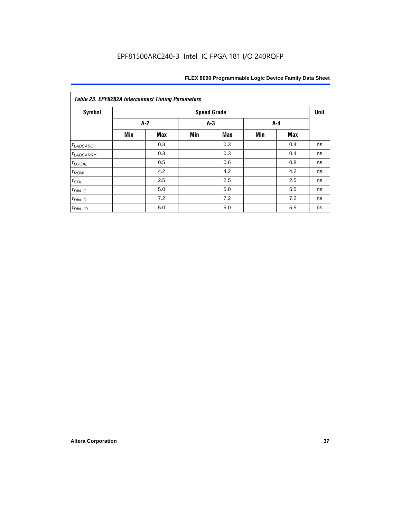| <b>Symbol</b>         | <b>Speed Grade</b> |            |     |            |     |       |    |  |  |
|-----------------------|--------------------|------------|-----|------------|-----|-------|----|--|--|
|                       | $A-2$              |            |     | $A-3$      |     | $A-4$ |    |  |  |
|                       | Min                | <b>Max</b> | Min | <b>Max</b> | Min | Max   |    |  |  |
| $t_{LABCASC}$         |                    | 0.3        |     | 0.3        |     | 0.4   | ns |  |  |
| <sup>t</sup> LABCARRY |                    | 0.3        |     | 0.3        |     | 0.4   | ns |  |  |
| $t_{\text{LOCAL}}$    |                    | 0.5        |     | 0.6        |     | 0.8   | ns |  |  |
| $t_{ROW}$             |                    | 4.2        |     | 4.2        |     | 4.2   | ns |  |  |
| $t_{COL}$             |                    | 2.5        |     | 2.5        |     | 2.5   | ns |  |  |
| $t_{DIN\_C}$          |                    | 5.0        |     | 5.0        |     | 5.5   | ns |  |  |
| $t_{DIN\_D}$          |                    | 7.2        |     | 7.2        |     | 7.2   | ns |  |  |
| $t_{DIN\_IO}$         |                    | 5.0        |     | 5.0        |     | 5.5   | ns |  |  |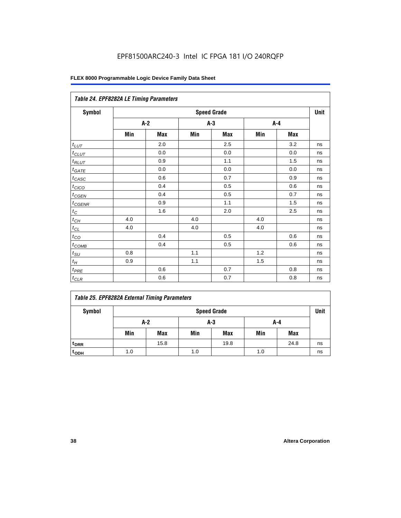| Table 24. EPF8282A LE Timing Parameters |     |       |       |                    |     |     |             |  |  |
|-----------------------------------------|-----|-------|-------|--------------------|-----|-----|-------------|--|--|
| Symbol                                  |     |       |       | <b>Speed Grade</b> |     |     | <b>Unit</b> |  |  |
|                                         |     | $A-2$ | $A-3$ |                    |     | A-4 |             |  |  |
|                                         | Min | Max   | Min   | Max                | Min | Max |             |  |  |
| $t_{LUT}$                               |     | 2.0   |       | 2.5                |     | 3.2 | ns          |  |  |
| $t$ CLUT                                |     | 0.0   |       | 0.0                |     | 0.0 | ns          |  |  |
| $t_{RLUT}$                              |     | 0.9   |       | 1.1                |     | 1.5 | ns          |  |  |
| $t_{GATE}$                              |     | 0.0   |       | 0.0                |     | 0.0 | ns          |  |  |
| $t_{CASC}$                              |     | 0.6   |       | 0.7                |     | 0.9 | ns          |  |  |
| $t_{CICO}$                              |     | 0.4   |       | 0.5                |     | 0.6 | ns          |  |  |
| $t_{CGEN}$                              |     | 0.4   |       | 0.5                |     | 0.7 | ns          |  |  |
| $t_{CGENR}$                             |     | 0.9   |       | 1.1                |     | 1.5 | ns          |  |  |
| $t_C$                                   |     | 1.6   |       | 2.0                |     | 2.5 | ns          |  |  |
| $t_{CH}$                                | 4.0 |       | 4.0   |                    | 4.0 |     | ns          |  |  |
| $t_{CL}$                                | 4.0 |       | 4.0   |                    | 4.0 |     | ns          |  |  |
| $t_{\text{CO}}$                         |     | 0.4   |       | 0.5                |     | 0.6 | ns          |  |  |
| $t_{\text{COMB}}$                       |     | 0.4   |       | 0.5                |     | 0.6 | ns          |  |  |
| $t_{\text{SU}}$                         | 0.8 |       | 1.1   |                    | 1.2 |     | ns          |  |  |
| $t_H\,$                                 | 0.9 |       | 1.1   |                    | 1.5 |     | ns          |  |  |
| $t_{PRE}$                               |     | 0.6   |       | 0.7                |     | 0.8 | ns          |  |  |
| $t_{CLR}$                               |     | 0.6   |       | 0.7                |     | 0.8 | ns          |  |  |

|  |  | <b>Table 25. EPF8282A External Timing Parameters</b> |
|--|--|------------------------------------------------------|
|  |  |                                                      |

| Symbol           |            | <b>Speed Grade</b> |     |      |     |            |    |  |  |  |
|------------------|------------|--------------------|-----|------|-----|------------|----|--|--|--|
|                  | A-2<br>A-3 |                    |     | A-4  |     |            |    |  |  |  |
|                  | Min        | Max                | Min | Max  | Min | <b>Max</b> |    |  |  |  |
| t <sub>DRR</sub> |            | 15.8               |     | 19.8 |     | 24.8       | ns |  |  |  |
| t <sub>ODH</sub> | 1.0        |                    | 1.0 |      | 1.0 |            | ns |  |  |  |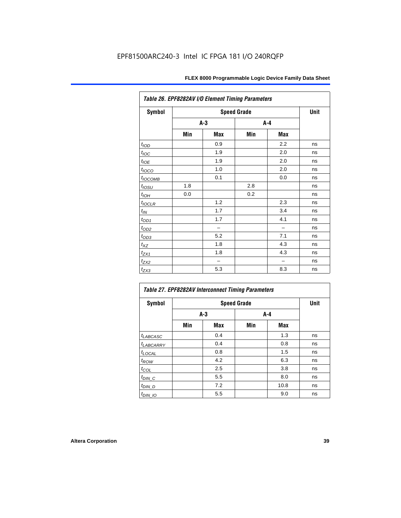| Table 26. EPF8282AV I/O Element Timing Parameters |     |       |                    |     |      |  |  |  |
|---------------------------------------------------|-----|-------|--------------------|-----|------|--|--|--|
| <b>Symbol</b>                                     |     |       | <b>Speed Grade</b> |     | Unit |  |  |  |
|                                                   |     | $A-3$ | A-4                |     |      |  |  |  |
|                                                   | Min | Max   | Min                | Max |      |  |  |  |
| t <sub>IOD</sub>                                  |     | 0.9   |                    | 2.2 | ns   |  |  |  |
| $t_{\text{loc}}$                                  |     | 1.9   |                    | 2.0 | ns   |  |  |  |
| $t_{\text{ODE}}$                                  |     | 1.9   |                    | 2.0 | ns   |  |  |  |
| $t_{IOCO}$                                        |     | 1.0   |                    | 2.0 | ns   |  |  |  |
| $t_{IOCOMB}$                                      |     | 0.1   |                    | 0.0 | ns   |  |  |  |
| $t_{IOSU}$                                        | 1.8 |       | 2.8                |     | ns   |  |  |  |
| $t_{IOH}$                                         | 0.0 |       | 0.2                |     | ns   |  |  |  |
| $t_{IOCLR}$                                       |     | 1.2   |                    | 2.3 | ns   |  |  |  |
| $t_{\mathit{IN}}$                                 |     | 1.7   |                    | 3.4 | ns   |  |  |  |
| $t_{OD1}$                                         |     | 1.7   |                    | 4.1 | ns   |  |  |  |
| $t_{OD2}$                                         |     |       |                    |     | ns   |  |  |  |
| $t_{OD3}$                                         |     | 5.2   |                    | 7.1 | ns   |  |  |  |
| $t_{XZ}$                                          |     | 1.8   |                    | 4.3 | ns   |  |  |  |
| $t_{ZX1}$                                         |     | 1.8   |                    | 4.3 | ns   |  |  |  |
| $t_{ZX2}$                                         |     |       |                    |     | ns   |  |  |  |
| $t_{ZX3}$                                         |     | 5.3   |                    | 8.3 | ns   |  |  |  |

| <b>Symbol</b>          |     | Unit  |     |      |    |
|------------------------|-----|-------|-----|------|----|
|                        |     | $A-3$ | A-4 |      |    |
|                        | Min | Max   | Min | Max  |    |
| $t_{LABCASC}$          |     | 0.4   |     | 1.3  | ns |
| <b><i>LABCARRY</i></b> |     | 0.4   |     | 0.8  | ns |
| $t_{\text{LOCAL}}$     |     | 0.8   |     | 1.5  | ns |
| $t_{ROW}$              |     | 4.2   |     | 6.3  | ns |
| $t_{COL}$              |     | 2.5   |     | 3.8  | ns |
| $t_{DI\underline{N}C}$ |     | 5.5   |     | 8.0  | ns |
| $t_{DIN\_D}$           |     | 7.2   |     | 10.8 | ns |
| $t_{DIN\_IO}$          |     | 5.5   |     | 9.0  | ns |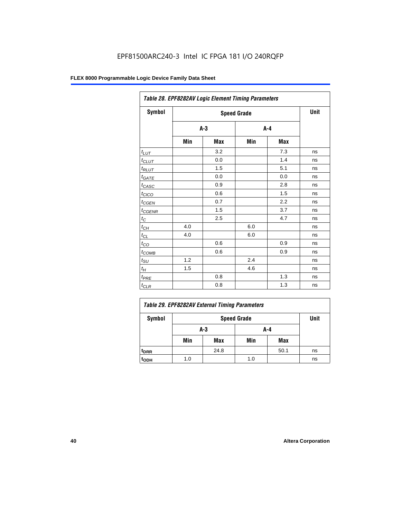|                      | Table 28. EPF8282AV Logic Element Timing Parameters |                    |         |     |    |  |  |  |  |
|----------------------|-----------------------------------------------------|--------------------|---------|-----|----|--|--|--|--|
| Symbol               |                                                     | <b>Speed Grade</b> |         |     |    |  |  |  |  |
|                      |                                                     | $A-3$              | $A - 4$ |     |    |  |  |  |  |
|                      | Min                                                 | Max                | Min     | Max |    |  |  |  |  |
| $t_{LUT}$            |                                                     | 3.2                |         | 7.3 | ns |  |  |  |  |
| $t_{CLUT}$           |                                                     | 0.0                |         | 1.4 | ns |  |  |  |  |
| $t_{RLUT}$           |                                                     | 1.5                |         | 5.1 | ns |  |  |  |  |
| $t_{GATE}$           |                                                     | 0.0                |         | 0.0 | ns |  |  |  |  |
| $t_{CASC}$           |                                                     | 0.9                |         | 2.8 | ns |  |  |  |  |
| $t_{CICO}$           |                                                     | 0.6                |         | 1.5 | ns |  |  |  |  |
| $t_{GEN}$            |                                                     | 0.7                |         | 2.2 | ns |  |  |  |  |
| $t_{\text{GENR}}$    |                                                     | 1.5                |         | 3.7 | ns |  |  |  |  |
| $t_C$                |                                                     | 2.5                |         | 4.7 | ns |  |  |  |  |
| $t_{\underline{CH}}$ | 4.0                                                 |                    | 6.0     |     | ns |  |  |  |  |
| $t_{CL}$             | 4.0                                                 |                    | 6.0     |     | ns |  |  |  |  |
| $t_{CO}$             |                                                     | 0.6                |         | 0.9 | ns |  |  |  |  |
| $t_{COMB}$           |                                                     | 0.6                |         | 0.9 | ns |  |  |  |  |
| $t_{\text{SU}}$      | 1.2                                                 |                    | 2.4     |     | ns |  |  |  |  |
| $t_H$                | 1.5                                                 |                    | 4.6     |     | ns |  |  |  |  |
| $t_{PRE}$            |                                                     | 0.8                |         | 1.3 | ns |  |  |  |  |
| $t_{CLR}$            |                                                     | 0.8                |         | 1.3 | ns |  |  |  |  |

| Table 29. EPF8282AV External Timing Parameters |     |                    |     |      |    |  |  |  |
|------------------------------------------------|-----|--------------------|-----|------|----|--|--|--|
| Symbol                                         |     | <b>Speed Grade</b> |     |      |    |  |  |  |
|                                                |     | A-3                | A-4 |      |    |  |  |  |
|                                                | Min | Max                | Min | Max  |    |  |  |  |
| <sup>t</sup> DRR                               |     | 24.8               |     | 50.1 | ns |  |  |  |
| toph                                           | 1.0 |                    | 1.0 |      | ns |  |  |  |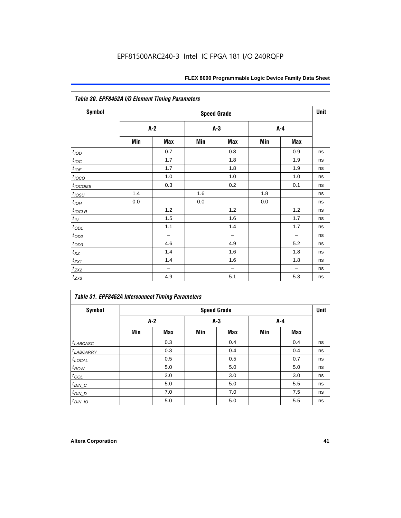| Table 30. EPF8452A I/O Element Timing Parameters |       |                          |       |                          |       |                          |      |  |  |  |
|--------------------------------------------------|-------|--------------------------|-------|--------------------------|-------|--------------------------|------|--|--|--|
| <b>Symbol</b>                                    |       |                          |       | <b>Speed Grade</b>       |       |                          | Unit |  |  |  |
|                                                  | $A-2$ |                          | $A-3$ |                          | $A-4$ |                          |      |  |  |  |
|                                                  | Min   | Max                      | Min   | Max                      | Min   | Max                      |      |  |  |  |
| t <sub>IOD</sub>                                 |       | 0.7                      |       | 0.8                      |       | 0.9                      | ns   |  |  |  |
| $t_{\text{IOC}}$                                 |       | 1.7                      |       | 1.8                      |       | 1.9                      | ns   |  |  |  |
| $t_{IOE}$                                        |       | 1.7                      |       | 1.8                      |       | 1.9                      | ns   |  |  |  |
| $t_{IOCO}$                                       |       | 1.0                      |       | 1.0                      |       | 1.0                      | ns   |  |  |  |
| $t_{IOCOMB}$                                     |       | 0.3                      |       | 0.2                      |       | 0.1                      | ns   |  |  |  |
| $t_{IOSU}$                                       | 1.4   |                          | 1.6   |                          | 1.8   |                          | ns   |  |  |  |
| $t_{IOH}$                                        | 0.0   |                          | 0.0   |                          | 0.0   |                          | ns   |  |  |  |
| $t_{IOCLR}$                                      |       | 1.2                      |       | 1.2                      |       | 1.2                      | ns   |  |  |  |
| $t_{I\!N}$                                       |       | 1.5                      |       | 1.6                      |       | 1.7                      | ns   |  |  |  |
| $t_{OD1}$                                        |       | 1.1                      |       | 1.4                      |       | 1.7                      | ns   |  |  |  |
| $t_{OD2}$                                        |       | $\overline{\phantom{0}}$ |       | $\overline{\phantom{0}}$ |       | $\overline{\phantom{0}}$ | ns   |  |  |  |
| $t_{OD3}$                                        |       | 4.6                      |       | 4.9                      |       | 5.2                      | ns   |  |  |  |
| $t_{XZ}$                                         |       | 1.4                      |       | 1.6                      |       | 1.8                      | ns   |  |  |  |
| $t_{ZX1}$                                        |       | 1.4                      |       | 1.6                      |       | 1.8                      | ns   |  |  |  |
| $t_{ZX2}$                                        |       | $\qquad \qquad -$        |       | $\overline{\phantom{0}}$ |       | $\overline{\phantom{0}}$ | ns   |  |  |  |
| $t_{ZX3}$                                        |       | 4.9                      |       | 5.1                      |       | 5.3                      | ns   |  |  |  |

# *Table 31. EPF8452A Interconnect Timing Parameters*

| Symbol             |     | <b>Speed Grade</b> |       |            |     |       |    |  |  |  |
|--------------------|-----|--------------------|-------|------------|-----|-------|----|--|--|--|
|                    | A-2 |                    | $A-3$ |            |     | $A-4$ |    |  |  |  |
|                    | Min | Max                | Min   | <b>Max</b> | Min | Max   |    |  |  |  |
| $t_{LABCASC}$      |     | 0.3                |       | 0.4        |     | 0.4   | ns |  |  |  |
| $t_{LABCARRY}$     |     | 0.3                |       | 0.4        |     | 0.4   | ns |  |  |  |
| $t_{\text{LOCAL}}$ |     | 0.5                |       | 0.5        |     | 0.7   | ns |  |  |  |
| $t_{\mathit{ROW}}$ |     | 5.0                |       | 5.0        |     | 5.0   | ns |  |  |  |
| $t_{COL}$          |     | 3.0                |       | 3.0        |     | 3.0   | ns |  |  |  |
| $t_{DIN\_C}$       |     | 5.0                |       | 5.0        |     | 5.5   | ns |  |  |  |
| $t_{DI N_D}$       |     | 7.0                |       | 7.0        |     | 7.5   | ns |  |  |  |
| $t_{DIN\_IO}$      |     | 5.0                |       | 5.0        |     | 5.5   | ns |  |  |  |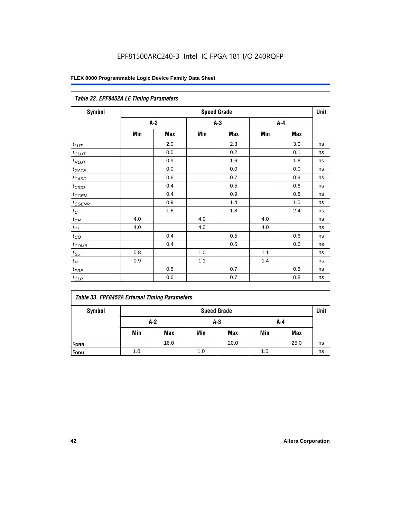| Table 32. EPF8452A LE Timing Parameters |       |     |       |                    |       |     |             |  |  |
|-----------------------------------------|-------|-----|-------|--------------------|-------|-----|-------------|--|--|
| Symbol                                  |       |     |       | <b>Speed Grade</b> |       |     | <b>Unit</b> |  |  |
|                                         | $A-2$ |     | $A-3$ |                    | $A-4$ |     |             |  |  |
|                                         | Min   | Max | Min   | <b>Max</b>         | Min   | Max |             |  |  |
| $t_{LUT}$                               |       | 2.0 |       | 2.3                |       | 3.0 | ns          |  |  |
| $t_{CLUT}$                              |       | 0.0 |       | 0.2                |       | 0.1 | ns          |  |  |
| $t_{RLUT}$                              |       | 0.9 |       | 1.6                |       | 1.6 | ns          |  |  |
| $t_{GATE}$                              |       | 0.0 |       | 0.0                |       | 0.0 | ns          |  |  |
| $t_{CASC}$                              |       | 0.6 |       | 0.7                |       | 0.9 | ns          |  |  |
| $t_{CICO}$                              |       | 0.4 |       | 0.5                |       | 0.6 | ns          |  |  |
| $t_{CGEN}$                              |       | 0.4 |       | 0.9                |       | 0.8 | ns          |  |  |
| $t_{CGENR}$                             |       | 0.9 |       | 1.4                |       | 1.5 | ns          |  |  |
| $t_C$                                   |       | 1.6 |       | 1.8                |       | 2.4 | ns          |  |  |
| $t_{CH}$                                | 4.0   |     | 4.0   |                    | 4.0   |     | ns          |  |  |
| $t_{CL}$                                | 4.0   |     | 4.0   |                    | 4.0   |     | ns          |  |  |
| $t_{\rm CO}$                            |       | 0.4 |       | 0.5                |       | 0.6 | ns          |  |  |
| $t_{COMB}$                              |       | 0.4 |       | 0.5                |       | 0.6 | ns          |  |  |
| $t_{\rm SU}$                            | 0.8   |     | 1.0   |                    | 1.1   |     | ns          |  |  |
| $t_H$                                   | 0.9   |     | 1.1   |                    | 1.4   |     | ns          |  |  |
| $t_{PRE}$                               |       | 0.6 |       | 0.7                |       | 0.8 | ns          |  |  |
| $t_{CLR}$                               |       | 0.6 |       | 0.7                |       | 0.8 | ns          |  |  |

# *Table 33. EPF8452A External Timing Parameters*

| Symbol                      |              | <b>Speed Grade</b> |     |            |     |            |    |  |  |  |
|-----------------------------|--------------|--------------------|-----|------------|-----|------------|----|--|--|--|
|                             | A-2<br>$A-3$ |                    |     |            | A-4 |            |    |  |  |  |
|                             | Min          | Max                | Min | <b>Max</b> | Min | <b>Max</b> |    |  |  |  |
| <sup>t</sup> <sub>DRR</sub> |              | 16.0               |     | 20.0       |     | 25.0       | ns |  |  |  |
| t <sub>ODH</sub>            | 1.0          |                    | 1.0 |            | 1.0 |            | ns |  |  |  |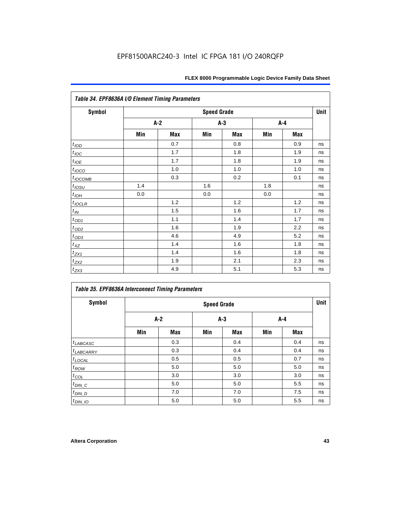| <b>Symbol</b>       | <b>Speed Grade</b> |     |       |       |     |     |    |  |  |
|---------------------|--------------------|-----|-------|-------|-----|-----|----|--|--|
|                     | A-2                |     | $A-3$ |       | A-4 |     |    |  |  |
|                     | Min                | Max | Min   | Max   | Min | Max |    |  |  |
| $t_{\textit{IOD}}$  |                    | 0.7 |       | 0.8   |     | 0.9 | ns |  |  |
| $t_{\textit{IOC}}$  |                    | 1.7 |       | 1.8   |     | 1.9 | ns |  |  |
| $t_{IOE}$           |                    | 1.7 |       | 1.8   |     | 1.9 | ns |  |  |
| t <sub>IOCO</sub>   |                    | 1.0 |       | 1.0   |     | 1.0 | ns |  |  |
| $t_{IOCOMB}$        |                    | 0.3 |       | 0.2   |     | 0.1 | ns |  |  |
| $t_{\mathit{IOSU}}$ | 1.4                |     | 1.6   |       | 1.8 |     | ns |  |  |
| $t_{IOH}$           | 0.0                |     | 0.0   |       | 0.0 |     | ns |  |  |
| $t_{IOCLR}$         |                    | 1.2 |       | $1.2$ |     | 1.2 | ns |  |  |
| $t_{I\!N}$          |                    | 1.5 |       | 1.6   |     | 1.7 | ns |  |  |
| $t_{OD1}$           |                    | 1.1 |       | 1.4   |     | 1.7 | ns |  |  |
| $t_{OD2}$           |                    | 1.6 |       | 1.9   |     | 2.2 | ns |  |  |
| $t_{OD3}$           |                    | 4.6 |       | 4.9   |     | 5.2 | ns |  |  |
| $t_{XZ}$            |                    | 1.4 |       | 1.6   |     | 1.8 | ns |  |  |
| $t_{ZX1}$           |                    | 1.4 |       | 1.6   |     | 1.8 | ns |  |  |
| $t_{ZX2}$           |                    | 1.9 |       | 2.1   |     | 2.3 | ns |  |  |

| <b>Symbol</b>         |     | <b>Speed Grade</b> |       |            |       |            |    |  |  |
|-----------------------|-----|--------------------|-------|------------|-------|------------|----|--|--|
|                       | A-2 |                    | $A-3$ |            | $A-4$ |            |    |  |  |
|                       | Min | Max                | Min   | <b>Max</b> | Min   | <b>Max</b> |    |  |  |
| $t_{LABCASC}$         |     | 0.3                |       | 0.4        |       | 0.4        | ns |  |  |
| <sup>t</sup> LABCARRY |     | 0.3                |       | 0.4        |       | 0.4        | ns |  |  |
| $t_{\text{LOCAL}}$    |     | 0.5                |       | 0.5        |       | 0.7        | ns |  |  |
| $t_{ROW}$             |     | 5.0                |       | 5.0        |       | 5.0        | ns |  |  |
| $t_{COL}$             |     | 3.0                |       | 3.0        |       | 3.0        | ns |  |  |
| $t_{DIN\_C}$          |     | 5.0                |       | 5.0        |       | 5.5        | ns |  |  |
| $t_{DIN\_D}$          |     | 7.0                |       | 7.0        |       | 7.5        | ns |  |  |
| $t_{DIN\_IO}$         |     | 5.0                |       | 5.0        |       | 5.5        | ns |  |  |

 $t_{\text{ZX3}}$  1.9  $\begin{array}{|c|c|c|c|c|} \hline 4.9 & 5.1 & 5.3 & \text{ns} \ \hline \end{array}$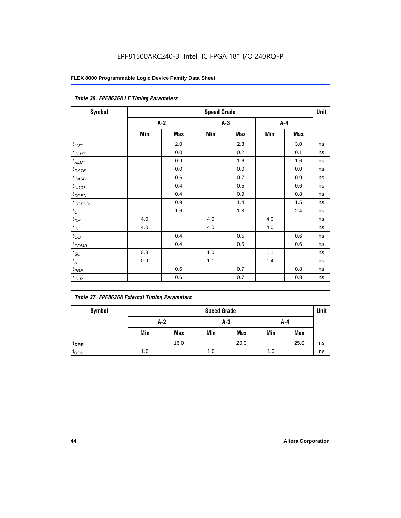|                   | Table 36. EPF8636A LE Timing Parameters |     |                    |     |         |     |      |  |  |  |
|-------------------|-----------------------------------------|-----|--------------------|-----|---------|-----|------|--|--|--|
| Symbol            |                                         |     | <b>Speed Grade</b> |     |         |     | Unit |  |  |  |
|                   | $A-2$                                   |     | $A-3$              |     | $A - 4$ |     |      |  |  |  |
|                   | Min                                     | Max | Min                | Max | Min     | Max |      |  |  |  |
| $t_{LUT}$         |                                         | 2.0 |                    | 2.3 |         | 3.0 | ns   |  |  |  |
| $t_{CLUT}$        |                                         | 0.0 |                    | 0.2 |         | 0.1 | ns   |  |  |  |
| $t_{RLUT}$        |                                         | 0.9 |                    | 1.6 |         | 1.6 | ns   |  |  |  |
| $t_{GATE}$        |                                         | 0.0 |                    | 0.0 |         | 0.0 | ns   |  |  |  |
| $t_{CASC}$        |                                         | 0.6 |                    | 0.7 |         | 0.9 | ns   |  |  |  |
| $t_{CICO}$        |                                         | 0.4 |                    | 0.5 |         | 0.6 | ns   |  |  |  |
| $t_{GEN}$         |                                         | 0.4 |                    | 0.9 |         | 0.8 | ns   |  |  |  |
| $t_{CGENR}$       |                                         | 0.9 |                    | 1.4 |         | 1.5 | ns   |  |  |  |
| $t_C$             |                                         | 1.6 |                    | 1.8 |         | 2.4 | ns   |  |  |  |
| $t_{CH}$          | 4.0                                     |     | 4.0                |     | 4.0     |     | ns   |  |  |  |
| $t_{CL}$          | 4.0                                     |     | 4.0                |     | 4.0     |     | ns   |  |  |  |
| $t_{CO}$          |                                         | 0.4 |                    | 0.5 |         | 0.6 | ns   |  |  |  |
| $t_{\text{COMB}}$ |                                         | 0.4 |                    | 0.5 |         | 0.6 | ns   |  |  |  |
| $t_{SU}$          | 0.8                                     |     | 1.0                |     | 1.1     |     | ns   |  |  |  |
| $t_H$             | 0.9                                     |     | $1.1$              |     | 1.4     |     | ns   |  |  |  |
| $t_{PRE}$         |                                         | 0.6 |                    | 0.7 |         | 0.8 | ns   |  |  |  |
| $t_{CLR}$         |                                         | 0.6 |                    | 0.7 |         | 0.8 | ns   |  |  |  |

# *Table 37. EPF8636A External Timing Parameters*

| Symbol           | <b>Speed Grade</b> |            |     |            |     |      |    |  |  |
|------------------|--------------------|------------|-----|------------|-----|------|----|--|--|
|                  | $A-2$              |            | A-3 |            | A-4 |      |    |  |  |
|                  | Min                | <b>Max</b> | Min | <b>Max</b> | Min | Max  |    |  |  |
| t <sub>DRR</sub> |                    | 16.0       |     | 20.0       |     | 25.0 | ns |  |  |
| t <sub>ODH</sub> | 1.0                |            | 1.0 |            | 1.0 |      | ns |  |  |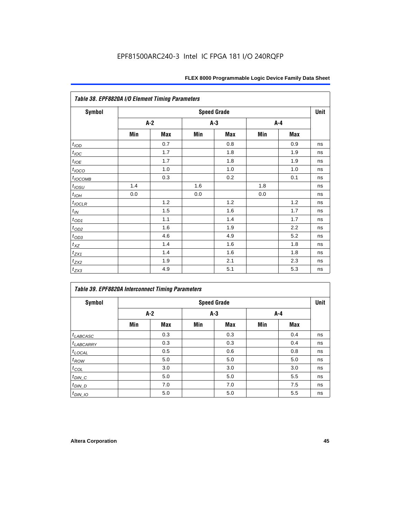|                  | Table 38. EPF8820A I/O Element Timing Parameters |     |     |                    |     |     |      |  |  |  |  |
|------------------|--------------------------------------------------|-----|-----|--------------------|-----|-----|------|--|--|--|--|
| <b>Symbol</b>    |                                                  |     |     | <b>Speed Grade</b> |     |     | Unit |  |  |  |  |
|                  |                                                  | A-2 | A-3 |                    | A-4 |     |      |  |  |  |  |
|                  | Min                                              | Max | Min | <b>Max</b>         | Min | Max |      |  |  |  |  |
| t <sub>IOD</sub> |                                                  | 0.7 |     | 0.8                |     | 0.9 | ns   |  |  |  |  |
| $t_{\text{IOC}}$ |                                                  | 1.7 |     | 1.8                |     | 1.9 | ns   |  |  |  |  |
| $t_{IOE}$        |                                                  | 1.7 |     | 1.8                |     | 1.9 | ns   |  |  |  |  |
| $t_{IOCO}$       |                                                  | 1.0 |     | 1.0                |     | 1.0 | ns   |  |  |  |  |
| $t_{IOCOMB}$     |                                                  | 0.3 |     | 0.2                |     | 0.1 | ns   |  |  |  |  |
| $t_{IOSU}$       | 1.4                                              |     | 1.6 |                    | 1.8 |     | ns   |  |  |  |  |
| $t_{IOH}$        | 0.0                                              |     | 0.0 |                    | 0.0 |     | ns   |  |  |  |  |
| $t_{IOCLR}$      |                                                  | 1.2 |     | 1.2                |     | 1.2 | ns   |  |  |  |  |
| $t_{I\!N}$       |                                                  | 1.5 |     | 1.6                |     | 1.7 | ns   |  |  |  |  |
| $t_{OD1}$        |                                                  | 1.1 |     | 1.4                |     | 1.7 | ns   |  |  |  |  |
| $t_{\text{OD2}}$ |                                                  | 1.6 |     | 1.9                |     | 2.2 | ns   |  |  |  |  |
| $t_{OD3}$        |                                                  | 4.6 |     | 4.9                |     | 5.2 | ns   |  |  |  |  |
| $t_{\text{XZ}}$  |                                                  | 1.4 |     | 1.6                |     | 1.8 | ns   |  |  |  |  |
| $t_{ZX1}$        |                                                  | 1.4 |     | 1.6                |     | 1.8 | ns   |  |  |  |  |
| $t_{ZX2}$        |                                                  | 1.9 |     | 2.1                |     | 2.3 | ns   |  |  |  |  |
| $t_{ZX3}$        |                                                  | 4.9 |     | 5.1                |     | 5.3 | ns   |  |  |  |  |

| Symbol               |       | <b>Table 39. EPF8820A Interconnect Timing Parameters</b><br><b>Speed Grade</b> |     |       |     |            |      |  |  |  |
|----------------------|-------|--------------------------------------------------------------------------------|-----|-------|-----|------------|------|--|--|--|
|                      | $A-2$ |                                                                                |     | $A-3$ |     | A-4        | Unit |  |  |  |
|                      | Min   | <b>Max</b>                                                                     | Min | Max   | Min | <b>Max</b> |      |  |  |  |
| $t_{LABCASC}$        |       | 0.3                                                                            |     | 0.3   |     | 0.4        | ns   |  |  |  |
| $t_{LABCARY}$        |       | 0.3                                                                            |     | 0.3   |     | 0.4        | ns   |  |  |  |
| $t_{\text{LOCAL}}$   |       | 0.5                                                                            |     | 0.6   |     | 0.8        | ns   |  |  |  |
| $t_{ROW}$            |       | 5.0                                                                            |     | 5.0   |     | 5.0        | ns   |  |  |  |
| $t_{COL}$            |       | 3.0                                                                            |     | 3.0   |     | 3.0        | ns   |  |  |  |
| $t_{DIN\_C}$         |       | 5.0                                                                            |     | 5.0   |     | 5.5        | ns   |  |  |  |
| $t$ <sub>DIN_D</sub> |       | 7.0                                                                            |     | 7.0   |     | 7.5        | ns   |  |  |  |
| $t_{DIN\_IO}$        |       | 5.0                                                                            |     | 5.0   |     | 5.5        | ns   |  |  |  |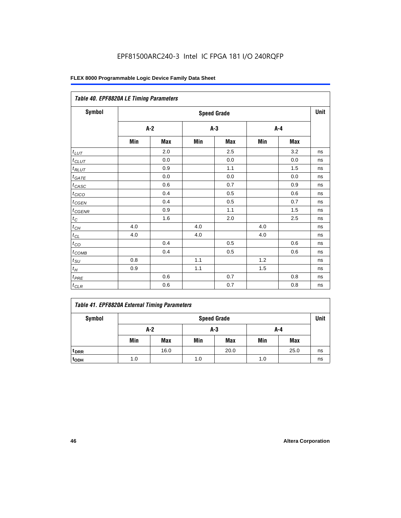| Table 40. EPF8820A LE Timing Parameters |     |         |     |                    |     |         |      |
|-----------------------------------------|-----|---------|-----|--------------------|-----|---------|------|
| Symbol                                  |     |         |     | <b>Speed Grade</b> |     |         | Unit |
|                                         |     | $A-2$   |     | $A-3$              |     | $A - 4$ |      |
|                                         | Min | Max     | Min | Max                | Min | Max     |      |
| $t_{LUT}$                               |     | 2.0     |     | 2.5                |     | 3.2     | ns   |
| $t_{CLUT}$                              |     | 0.0     |     | 0.0                |     | 0.0     | ns   |
| $t_{RLUT}$                              |     | 0.9     |     | 1.1                |     | 1.5     | ns   |
| $t_{GATE}$                              |     | 0.0     |     | 0.0                |     | 0.0     | ns   |
| $t_{CASC}$                              |     | 0.6     |     | 0.7                |     | 0.9     | ns   |
| $t_{CICO}$                              |     | 0.4     |     | 0.5                |     | 0.6     | ns   |
| $t_{CGEN}$                              |     | 0.4     |     | 0.5                |     | 0.7     | ns   |
| $t_{CGENR}$                             |     | 0.9     |     | 1.1                |     | 1.5     | ns   |
| $t_C$                                   |     | 1.6     |     | 2.0                |     | 2.5     | ns   |
| $t_{CH}$                                | 4.0 |         | 4.0 |                    | 4.0 |         | ns   |
| $t_{CL}$                                | 4.0 |         | 4.0 |                    | 4.0 |         | ns   |
| $t_{CO}$                                |     | 0.4     |     | 0.5                |     | 0.6     | ns   |
| $t_{\text{COMB}}$                       |     | 0.4     |     | 0.5                |     | 0.6     | ns   |
| $t_{\rm SU}$                            | 0.8 |         | 1.1 |                    | 1.2 |         | ns   |
| $t_H\,$                                 | 0.9 |         | 1.1 |                    | 1.5 |         | ns   |
| $t_{PRE}$                               |     | 0.6     |     | 0.7                |     | 0.8     | ns   |
| $t_{CLR}$                               |     | $0.6\,$ |     | 0.7                |     | 0.8     | ns   |

|               | Table 41. EPF8820A External Timing Parameters |      |
|---------------|-----------------------------------------------|------|
| <b>Symbol</b> | <b>Speed Grade</b>                            | Unit |

| <b>UVILLUUL</b>  |     | <b>Opouu Giuuu</b> |     |            |     |            |    |  |  |
|------------------|-----|--------------------|-----|------------|-----|------------|----|--|--|
|                  | A-2 |                    | A-3 |            | A-4 |            |    |  |  |
|                  | Min | Max                | Min | <b>Max</b> | Min | <b>Max</b> |    |  |  |
| t <sub>DRR</sub> |     | 16.0               |     | 20.0       |     | 25.0       | ns |  |  |
| t <sub>ODH</sub> | 1.0 |                    | 1.0 |            | 1.0 |            | ns |  |  |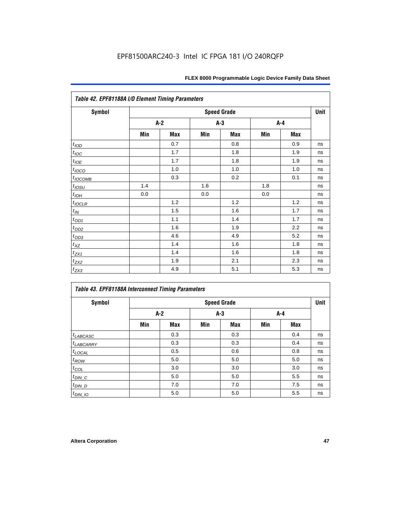| Table 42. EPF81188A I/O Element Timing Parameters |     |     |       |                    |     |            |      |  |  |  |
|---------------------------------------------------|-----|-----|-------|--------------------|-----|------------|------|--|--|--|
| <b>Symbol</b>                                     |     |     |       | <b>Speed Grade</b> |     |            | Unit |  |  |  |
|                                                   | A-2 |     | $A-3$ |                    | A-4 |            |      |  |  |  |
|                                                   | Min | Max | Min   | <b>Max</b>         | Min | <b>Max</b> |      |  |  |  |
| t <sub>IOD</sub>                                  |     | 0.7 |       | 0.8                |     | 0.9        | ns   |  |  |  |
| $t_{\text{loc}}$                                  |     | 1.7 |       | 1.8                |     | 1.9        | ns   |  |  |  |
| $t_{IOE}$                                         |     | 1.7 |       | 1.8                |     | 1.9        | ns   |  |  |  |
| $t_{IOCO}$                                        |     | 1.0 |       | 1.0                |     | 1.0        | ns   |  |  |  |
| $t_{IOCOMB}$                                      |     | 0.3 |       | 0.2                |     | 0.1        | ns   |  |  |  |
| $t_{IOSU}$                                        | 1.4 |     | 1.6   |                    | 1.8 |            | ns   |  |  |  |
| $t_{IOM}$                                         | 0.0 |     | 0.0   |                    | 0.0 |            | ns   |  |  |  |
| $t_{IOCLR}$                                       |     | 1.2 |       | 1.2                |     | 1.2        | ns   |  |  |  |
| $t_{I\!N}$                                        |     | 1.5 |       | 1.6                |     | 1.7        | ns   |  |  |  |
| $t_{OD1}$                                         |     | 1.1 |       | 1.4                |     | 1.7        | ns   |  |  |  |
| $t_{OD2}$                                         |     | 1.6 |       | 1.9                |     | 2.2        | ns   |  |  |  |
| $t_{OD3}$                                         |     | 4.6 |       | 4.9                |     | 5.2        | ns   |  |  |  |
| $t_{XZ}$                                          |     | 1.4 |       | 1.6                |     | 1.8        | ns   |  |  |  |
| $t_{ZX1}$                                         |     | 1.4 |       | 1.6                |     | 1.8        | ns   |  |  |  |
| $t_{ZX2}$                                         |     | 1.9 |       | 2.1                |     | 2.3        | ns   |  |  |  |
| $t_{ZX3}$                                         |     | 4.9 |       | 5.1                |     | 5.3        | ns   |  |  |  |

| <b>Table 43. EPF81188A Interconnect Timing Parameters</b> |                    |     |       |            |     |            |    |  |  |  |
|-----------------------------------------------------------|--------------------|-----|-------|------------|-----|------------|----|--|--|--|
| Symbol                                                    | <b>Speed Grade</b> |     |       |            |     |            |    |  |  |  |
|                                                           | $A-2$              |     | $A-3$ |            | A-4 |            |    |  |  |  |
|                                                           | Min                | Max | Min   | <b>Max</b> | Min | <b>Max</b> |    |  |  |  |
| $t_{LABCASC}$                                             |                    | 0.3 |       | 0.3        |     | 0.4        | ns |  |  |  |
| $t_{LABCARY}$                                             |                    | 0.3 |       | 0.3        |     | 0.4        | ns |  |  |  |
| $t_{\text{LOCAL}}$                                        |                    | 0.5 |       | 0.6        |     | 0.8        | ns |  |  |  |
| $t_{ROW}$                                                 |                    | 5.0 |       | 5.0        |     | 5.0        | ns |  |  |  |
| $t_{COL}$                                                 |                    | 3.0 |       | 3.0        |     | 3.0        | ns |  |  |  |
| $t_{DIN\_C}$                                              |                    | 5.0 |       | 5.0        |     | 5.5        | ns |  |  |  |
| $t_{DIN\_D}$                                              |                    | 7.0 |       | 7.0        |     | 7.5        | ns |  |  |  |
| $t_{DIN}$ 10                                              |                    | 5.0 |       | 5.0        |     | 5.5        | ns |  |  |  |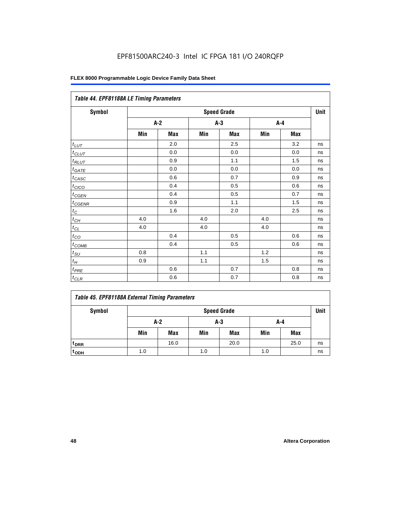|                   | Table 44. EPF81188A LE Timing Parameters |     |       |                    |       |     |      |  |  |  |  |
|-------------------|------------------------------------------|-----|-------|--------------------|-------|-----|------|--|--|--|--|
| <b>Symbol</b>     |                                          |     |       | <b>Speed Grade</b> |       |     | Unit |  |  |  |  |
|                   | $A-2$                                    |     | $A-3$ |                    | $A-4$ |     |      |  |  |  |  |
|                   | Min                                      | Max | Min   | <b>Max</b>         | Min   | Max |      |  |  |  |  |
| $t_{LUT}$         |                                          | 2.0 |       | 2.5                |       | 3.2 | ns   |  |  |  |  |
| $t_{CLUT}$        |                                          | 0.0 |       | 0.0                |       | 0.0 | ns   |  |  |  |  |
| $t_{RLUT}$        |                                          | 0.9 |       | 1.1                |       | 1.5 | ns   |  |  |  |  |
| $t_{GATE}$        |                                          | 0.0 |       | 0.0                |       | 0.0 | ns   |  |  |  |  |
| $t_{CASC}$        |                                          | 0.6 |       | 0.7                |       | 0.9 | ns   |  |  |  |  |
| $t_{CICO}$        |                                          | 0.4 |       | 0.5                |       | 0.6 | ns   |  |  |  |  |
| $t_{GEN}$         |                                          | 0.4 |       | 0.5                |       | 0.7 | ns   |  |  |  |  |
| $t_{CGENR}$       |                                          | 0.9 |       | 1.1                |       | 1.5 | ns   |  |  |  |  |
| $t_C$             |                                          | 1.6 |       | 2.0                |       | 2.5 | ns   |  |  |  |  |
| $t_{CH}$          | 4.0                                      |     | 4.0   |                    | 4.0   |     | ns   |  |  |  |  |
| $t_{CL}$          | 4.0                                      |     | 4.0   |                    | 4.0   |     | ns   |  |  |  |  |
| $t_{CO}$          |                                          | 0.4 |       | 0.5                |       | 0.6 | ns   |  |  |  |  |
| $t_{\text{COMB}}$ |                                          | 0.4 |       | 0.5                |       | 0.6 | ns   |  |  |  |  |
| $t_{\text{SU}}$   | 0.8                                      |     | 1.1   |                    | 1.2   |     | ns   |  |  |  |  |
| $t_H$             | 0.9                                      |     | 1.1   |                    | 1.5   |     | ns   |  |  |  |  |
| $t_{PRE}$         |                                          | 0.6 |       | 0.7                |       | 0.8 | ns   |  |  |  |  |
| $t_{CLR}$         |                                          | 0.6 |       | 0.7                |       | 0.8 | ns   |  |  |  |  |

|  |  |  |  | Table 45. EPF81188A External Timing Parameters |
|--|--|--|--|------------------------------------------------|
|--|--|--|--|------------------------------------------------|

| Symbol           | <b>Speed Grade</b> |            |     |            |     |            |    |  |
|------------------|--------------------|------------|-----|------------|-----|------------|----|--|
|                  | A-2<br>A-3<br>A-4  |            |     |            |     |            |    |  |
|                  | Min                | <b>Max</b> | Min | <b>Max</b> | Min | <b>Max</b> |    |  |
| t <sub>DRR</sub> |                    | 16.0       |     | 20.0       |     | 25.0       | ns |  |
| t <sub>ODH</sub> | 1.0                |            | 1.0 |            | 1.0 |            | ns |  |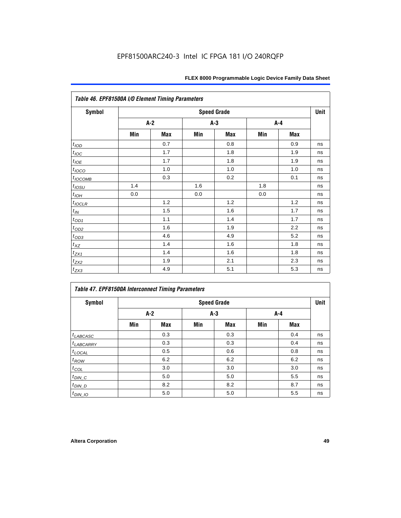| Table 46. EPF81500A I/O Element Timing Parameters |                    |       |     |            |     |            |    |  |
|---------------------------------------------------|--------------------|-------|-----|------------|-----|------------|----|--|
| <b>Symbol</b>                                     | <b>Speed Grade</b> |       |     |            |     |            |    |  |
|                                                   |                    | $A-2$ |     | $A-3$      | A-4 |            |    |  |
|                                                   | Min                | Max   | Min | <b>Max</b> | Min | <b>Max</b> |    |  |
| t <sub>I</sub>                                    |                    | 0.7   |     | 0.8        |     | 0.9        | ns |  |
| $t_{\text{IOC}}$                                  |                    | 1.7   |     | 1.8        |     | 1.9        | ns |  |
| $t_{IOE}$                                         |                    | 1.7   |     | 1.8        |     | 1.9        | ns |  |
| $t_{IOCO}$                                        |                    | 1.0   |     | 1.0        |     | 1.0        | ns |  |
| $t_{IOCOMB}$                                      |                    | 0.3   |     | 0.2        |     | 0.1        | ns |  |
| $t_{IOSU}$                                        | 1.4                |       | 1.6 |            | 1.8 |            | ns |  |
| $t_{IOH}$                                         | 0.0                |       | 0.0 |            | 0.0 |            | ns |  |
| $t_{IOCLR}$                                       |                    | 1.2   |     | 1.2        |     | 1.2        | ns |  |
| $t_{I\!N}$                                        |                    | 1.5   |     | 1.6        |     | 1.7        | ns |  |
| $t_{OD1}$                                         |                    | 1.1   |     | 1.4        |     | 1.7        | ns |  |
| $t_{\text{OD2}}$                                  |                    | 1.6   |     | 1.9        |     | 2.2        | ns |  |
| $t_{OD3}$                                         |                    | 4.6   |     | 4.9        |     | 5.2        | ns |  |
| $t_{\mathsf{XZ}}$                                 |                    | 1.4   |     | 1.6        |     | 1.8        | ns |  |
| $t_{ZX1}$                                         |                    | 1.4   |     | 1.6        |     | 1.8        | ns |  |
| $t_{ZX2}$                                         |                    | 1.9   |     | 2.1        |     | 2.3        | ns |  |
| $t_{ZX3}$                                         |                    | 4.9   |     | 5.1        |     | 5.3        | ns |  |

| Symbol                |     |       |     | <b>Speed Grade</b> |     |            | Unit |
|-----------------------|-----|-------|-----|--------------------|-----|------------|------|
|                       |     | $A-2$ |     | $A-3$              |     | A-4        |      |
|                       | Min | Max   | Min | Max                | Min | <b>Max</b> |      |
| $t_{LABCASC}$         |     | 0.3   |     | 0.3                |     | 0.4        | ns   |
| <sup>t</sup> LABCARRY |     | 0.3   |     | 0.3                |     | 0.4        | ns   |
| $t_{\text{LOCAL}}$    |     | 0.5   |     | 0.6                |     | 0.8        | ns   |
| $t_{ROW}$             |     | 6.2   |     | 6.2                |     | 6.2        | ns   |
| $t_{COL}$             |     | 3.0   |     | 3.0                |     | 3.0        | ns   |
| $t_{DIN\_C}$          |     | 5.0   |     | 5.0                |     | 5.5        | ns   |
| $t_{DIN\_D}$          |     | 8.2   |     | 8.2                |     | 8.7        | ns   |
| $t_{DIN}$ 10          |     | 5.0   |     | 5.0                |     | 5.5        | ns   |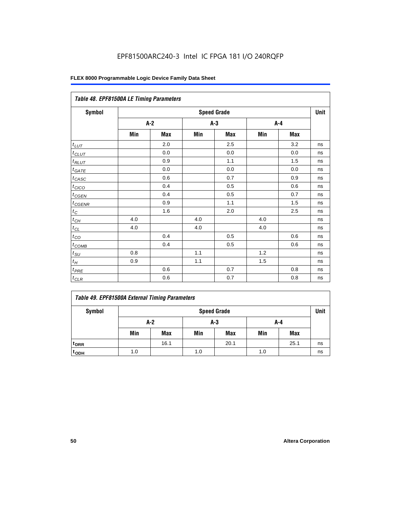| Table 48. EPF81500A LE Timing Parameters |                    |            |     |            |     |            |    |  |
|------------------------------------------|--------------------|------------|-----|------------|-----|------------|----|--|
| Symbol                                   | <b>Speed Grade</b> |            |     |            |     |            |    |  |
|                                          |                    | $A-2$      |     | A-3        | A-4 |            |    |  |
|                                          | Min                | <b>Max</b> | Min | <b>Max</b> | Min | <b>Max</b> |    |  |
| $t_{L\underline{UT}}$                    |                    | 2.0        |     | 2.5        |     | 3.2        | ns |  |
| $t_{CLUT}$                               |                    | 0.0        |     | 0.0        |     | 0.0        | ns |  |
| $t_{RLUT}$                               |                    | 0.9        |     | 1.1        |     | 1.5        | ns |  |
| $t_{\underline{GATE}}$                   |                    | 0.0        |     | 0.0        |     | 0.0        | ns |  |
| $t_{CASC}$                               |                    | 0.6        |     | 0.7        |     | 0.9        | ns |  |
| $t_{CICO}$                               |                    | 0.4        |     | 0.5        |     | 0.6        | ns |  |
| $t_{CGEN}$                               |                    | 0.4        |     | 0.5        |     | 0.7        | ns |  |
| $t_{CGENR}$                              |                    | 0.9        |     | 1.1        |     | 1.5        | ns |  |
| $t_C\,$                                  |                    | 1.6        |     | 2.0        |     | 2.5        | ns |  |
| $t_{\mathit{CH}}$                        | 4.0                |            | 4.0 |            | 4.0 |            | ns |  |
| $t_{CL}$                                 | 4.0                |            | 4.0 |            | 4.0 |            | ns |  |
| $t_{CO}$                                 |                    | 0.4        |     | 0.5        |     | 0.6        | ns |  |
| $t_{COMB}$                               |                    | 0.4        |     | 0.5        |     | 0.6        | ns |  |
| $t_{\text{SU}}$                          | 0.8                |            | 1.1 |            | 1.2 |            | ns |  |
| $t_H\,$                                  | 0.9                |            | 1.1 |            | 1.5 |            | ns |  |
| $t_{PRE}$                                |                    | 0.6        |     | 0.7        |     | 0.8        | ns |  |
| $t_{CLR}$                                |                    | 0.6        |     | 0.7        |     | 0.8        | ns |  |

| Symbol             | <b>Speed Grade</b> |      |     |            |     |            |    |  |
|--------------------|--------------------|------|-----|------------|-----|------------|----|--|
|                    | A-2<br>A-3<br>A-4  |      |     |            |     |            |    |  |
|                    | Min                | Max  | Min | <b>Max</b> | Min | <b>Max</b> |    |  |
| t <sub>DRR</sub>   |                    | 16.1 |     | 20.1       |     | 25.1       | ns |  |
| $t$ <sub>ODH</sub> | 1.0                |      | 1.0 |            | 1.0 |            | ns |  |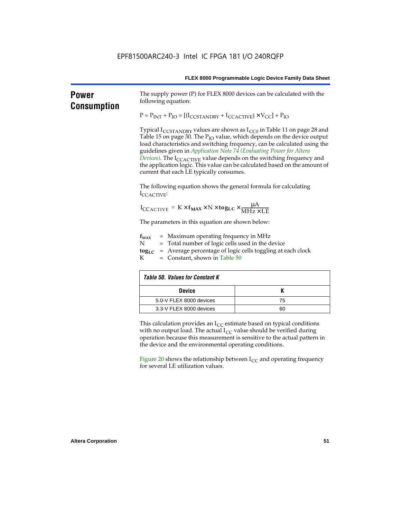| FLEX 8000 Programmable Logic Device Family Data Sheet |  |
|-------------------------------------------------------|--|
|-------------------------------------------------------|--|

| <b>Power</b><br><b>Consumption</b> | following equation:                                                                                                                                                                                                                                                                                                                                                                                                                                                                                                                       | The supply power (P) for FLEX 8000 devices can be calculated with the |  |  |  |  |
|------------------------------------|-------------------------------------------------------------------------------------------------------------------------------------------------------------------------------------------------------------------------------------------------------------------------------------------------------------------------------------------------------------------------------------------------------------------------------------------------------------------------------------------------------------------------------------------|-----------------------------------------------------------------------|--|--|--|--|
|                                    | $P = P_{INT} + P_{IO} = [(I_{CCSTANDBY} + I_{CCACTIVE}) \times V_{CC}] + P_{IO}$                                                                                                                                                                                                                                                                                                                                                                                                                                                          |                                                                       |  |  |  |  |
|                                    | Typical I <sub>CCSTANDBY</sub> values are shown as $I_{CC0}$ in Table 11 on page 28 and<br>Table 15 on page 30. The $P_{IO}$ value, which depends on the device output<br>load characteristics and switching frequency, can be calculated using the<br>guidelines given in Application Note 74 (Evaluating Power for Altera<br>Devices). The I <sub>CCACTIVE</sub> value depends on the switching frequency and<br>the application logic. This value can be calculated based on the amount of<br>current that each LE typically consumes. |                                                                       |  |  |  |  |
|                                    | The following equation shows the general formula for calculating<br>ICCACTIVE:                                                                                                                                                                                                                                                                                                                                                                                                                                                            |                                                                       |  |  |  |  |
|                                    | $I_{\text{CCACTIVE}} = K \times f_{\text{MAX}} \times N \times \text{tog}_{\text{LC}} \times \frac{\mu A}{\text{MHz} \times \text{LE}}$                                                                                                                                                                                                                                                                                                                                                                                                   |                                                                       |  |  |  |  |
|                                    | The parameters in this equation are shown below:                                                                                                                                                                                                                                                                                                                                                                                                                                                                                          |                                                                       |  |  |  |  |
|                                    | = Maximum operating frequency in MHz<br>$f_{MAX}$<br>N<br>= Total number of logic cells used in the device<br>$\text{tog}_{LC}$ = Average percentage of logic cells toggling at each clock<br>$=$ Constant, shown in Table 50<br>К                                                                                                                                                                                                                                                                                                        |                                                                       |  |  |  |  |
|                                    | <b>Table 50. Values for Constant K</b>                                                                                                                                                                                                                                                                                                                                                                                                                                                                                                    |                                                                       |  |  |  |  |
|                                    | <b>Device</b>                                                                                                                                                                                                                                                                                                                                                                                                                                                                                                                             | K                                                                     |  |  |  |  |
|                                    | 5.0-V FLEX 8000 devices                                                                                                                                                                                                                                                                                                                                                                                                                                                                                                                   | 75                                                                    |  |  |  |  |
|                                    | 3.3-V FLEX 8000 devices                                                                                                                                                                                                                                                                                                                                                                                                                                                                                                                   | 60                                                                    |  |  |  |  |
|                                    | This calculation provides an $I_{CC}$ estimate based on typical conditions<br>with no output load. The actual $I_{CC}$ value should be verified during<br>operation because this measurement is sensitive to the actual pattern in<br>the device and the environmental operating conditions.                                                                                                                                                                                                                                              |                                                                       |  |  |  |  |
|                                    | Figure 20 shows the relationship between $I_{CC}$ and operating frequency<br>for several LE utilization values.                                                                                                                                                                                                                                                                                                                                                                                                                           |                                                                       |  |  |  |  |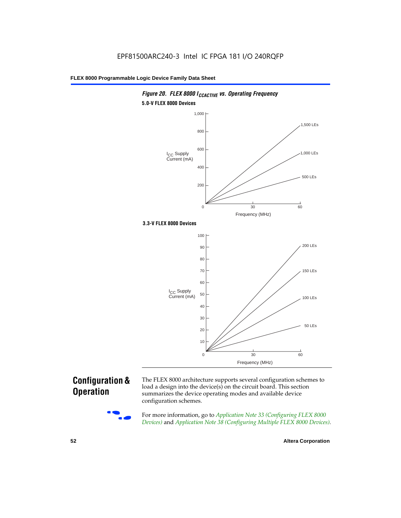

# **Configuration & Operation**

The FLEX 8000 architecture supports several configuration schemes to load a design into the device(s) on the circuit board. This section summarizes the device operating modes and available device configuration schemes.

For more information, go to *Application Note 33 (Configuring FLEX 8000 Devices)* and *Application Note 38 (Configuring Multiple FLEX 8000 Devices)*.

**52 Altera Corporation**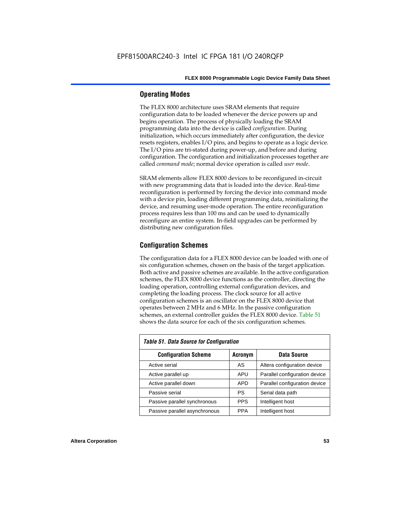# **Operating Modes**

The FLEX 8000 architecture uses SRAM elements that require configuration data to be loaded whenever the device powers up and begins operation. The process of physically loading the SRAM programming data into the device is called *configuration*. During initialization, which occurs immediately after configuration, the device resets registers, enables I/O pins, and begins to operate as a logic device. The I/O pins are tri-stated during power-up, and before and during configuration. The configuration and initialization processes together are called *command mode*; normal device operation is called *user mode*.

SRAM elements allow FLEX 8000 devices to be reconfigured in-circuit with new programming data that is loaded into the device. Real-time reconfiguration is performed by forcing the device into command mode with a device pin, loading different programming data, reinitializing the device, and resuming user-mode operation. The entire reconfiguration process requires less than 100 ms and can be used to dynamically reconfigure an entire system. In-field upgrades can be performed by distributing new configuration files.

# **Configuration Schemes**

The configuration data for a FLEX 8000 device can be loaded with one of six configuration schemes, chosen on the basis of the target application. Both active and passive schemes are available. In the active configuration schemes, the FLEX 8000 device functions as the controller, directing the loading operation, controlling external configuration devices, and completing the loading process. The clock source for all active configuration schemes is an oscillator on the FLEX 8000 device that operates between 2 MHz and 6 MHz. In the passive configuration schemes, an external controller guides the FLEX 8000 device. Table 51 shows the data source for each of the six configuration schemes.

| <b>Table 51. Data Source for Configuration</b> |                |                               |  |  |  |  |  |
|------------------------------------------------|----------------|-------------------------------|--|--|--|--|--|
| <b>Configuration Scheme</b>                    | <b>Acronym</b> | Data Source                   |  |  |  |  |  |
| Active serial                                  | AS             | Altera configuration device   |  |  |  |  |  |
| Active parallel up                             | APU            | Parallel configuration device |  |  |  |  |  |
| Active parallel down                           | <b>APD</b>     | Parallel configuration device |  |  |  |  |  |
| Passive serial                                 | PS             | Serial data path              |  |  |  |  |  |
| Passive parallel synchronous                   | <b>PPS</b>     | Intelligent host              |  |  |  |  |  |
| Passive parallel asynchronous                  | <b>PPA</b>     | Intelligent host              |  |  |  |  |  |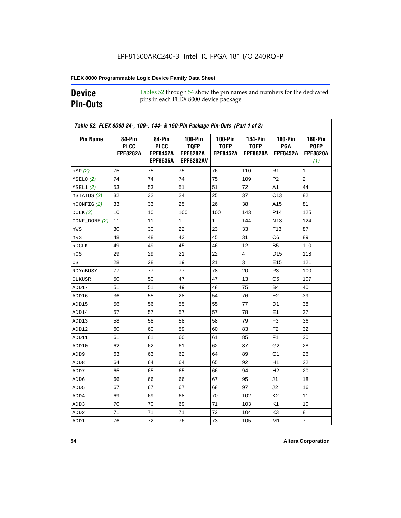# **Device Pin-Outs**

Tables 52 through 54 show the pin names and numbers for the dedicated pins in each FLEX 8000 device package.

| <b>Pin Name</b>  | 84-Pin<br><b>PLCC</b><br><b>EPF8282A</b> | 84-Pin<br><b>PLCC</b><br><b>EPF8452A</b> | <b>100-Pin</b><br><b>TQFP</b><br><b>EPF8282A</b> | <b>100-Pin</b><br><b>TQFP</b><br><b>EPF8452A</b> | <b>144-Pin</b><br><b>TQFP</b><br><b>EPF8820A</b> | <b>160-Pin</b><br>PGA<br><b>EPF8452A</b> | <b>160-Pin</b><br><b>PQFP</b><br><b>EPF8820A</b> |
|------------------|------------------------------------------|------------------------------------------|--------------------------------------------------|--------------------------------------------------|--------------------------------------------------|------------------------------------------|--------------------------------------------------|
|                  |                                          | <b>EPF8636A</b>                          | <b>EPF8282AV</b>                                 |                                                  |                                                  |                                          | (1)                                              |
| nSP(2)           | 75                                       | 75                                       | 75                                               | 76                                               | 110                                              | R <sub>1</sub>                           | 1                                                |
| MSELO(2)         | 74                                       | 74                                       | 74                                               | 75                                               | 109                                              | P <sub>2</sub>                           | $\overline{c}$                                   |
| MSEL1(2)         | 53                                       | 53                                       | 51                                               | 51                                               | 72                                               | A1                                       | 44                                               |
| nSTATUS (2)      | 32                                       | 32                                       | 24                                               | 25                                               | 37                                               | C <sub>13</sub>                          | 82                                               |
| $n$ CONFIG $(2)$ | 33                                       | 33                                       | 25                                               | 26                                               | 38                                               | A15                                      | 81                                               |
| DCLK $(2)$       | 10                                       | 10                                       | 100                                              | 100                                              | 143                                              | P <sub>14</sub>                          | 125                                              |
| $CONF\_DONE(2)$  | 11                                       | 11                                       | $\mathbf{1}$                                     | $\mathbf{1}$                                     | 144                                              | N <sub>13</sub>                          | 124                                              |
| nWS              | 30                                       | 30                                       | 22                                               | 23                                               | 33                                               | F <sub>13</sub>                          | 87                                               |
| nRS              | 48                                       | 48                                       | 42                                               | 45                                               | 31                                               | C6                                       | 89                                               |
| <b>RDCLK</b>     | 49                                       | 49                                       | 45                                               | 46                                               | 12                                               | B <sub>5</sub>                           | 110                                              |
| nCS              | 29                                       | 29                                       | 21                                               | 22                                               | $\overline{4}$                                   | D <sub>15</sub>                          | 118                                              |
| CS               | 28                                       | 28                                       | 19                                               | 21                                               | 3                                                | E <sub>15</sub>                          | 121                                              |
| RDYnBUSY         | 77                                       | 77                                       | 77                                               | 78                                               | 20                                               | P3                                       | 100                                              |
| CLKUSR           | 50                                       | 50                                       | 47                                               | 47                                               | 13                                               | C5                                       | 107                                              |
| ADD17            | 51                                       | 51                                       | 49                                               | 48                                               | 75                                               | B4                                       | 40                                               |
| ADD16            | 36                                       | 55                                       | 28                                               | 54                                               | 76                                               | E <sub>2</sub>                           | 39                                               |
| ADD15            | 56                                       | 56                                       | 55                                               | 55                                               | 77                                               | D <sub>1</sub>                           | 38                                               |
| ADD14            | 57                                       | 57                                       | 57                                               | 57                                               | 78                                               | E1                                       | 37                                               |
| ADD13            | 58                                       | 58                                       | 58                                               | 58                                               | 79                                               | F <sub>3</sub>                           | 36                                               |
| ADD12            | 60                                       | 60                                       | 59                                               | 60                                               | 83                                               | F <sub>2</sub>                           | 32                                               |
| ADD11            | 61                                       | 61                                       | 60                                               | 61                                               | 85                                               | F1                                       | 30                                               |
| ADD10            | 62                                       | 62                                       | 61                                               | 62                                               | 87                                               | G <sub>2</sub>                           | 28                                               |
| ADD <sub>9</sub> | 63                                       | 63                                       | 62                                               | 64                                               | 89                                               | G <sub>1</sub>                           | 26                                               |
| ADD <sub>8</sub> | 64                                       | 64                                       | 64                                               | 65                                               | 92                                               | H1                                       | 22                                               |
| ADD7             | 65                                       | 65                                       | 65                                               | 66                                               | 94                                               | H <sub>2</sub>                           | 20                                               |
| ADD6             | 66                                       | 66                                       | 66                                               | 67                                               | 95                                               | J1                                       | 18                                               |
| ADD <sub>5</sub> | 67                                       | 67                                       | 67                                               | 68                                               | 97                                               | J2                                       | 16                                               |
| ADD4             | 69                                       | 69                                       | 68                                               | 70                                               | 102                                              | K <sub>2</sub>                           | 11                                               |
| ADD3             | 70                                       | 70                                       | 69                                               | 71                                               | 103                                              | K1                                       | 10                                               |
| ADD <sub>2</sub> | 71                                       | 71                                       | 71                                               | 72                                               | 104                                              | K3                                       | 8                                                |
| ADD1             | 76                                       | 72                                       | 76                                               | 73                                               | 105                                              | M1                                       | $\overline{7}$                                   |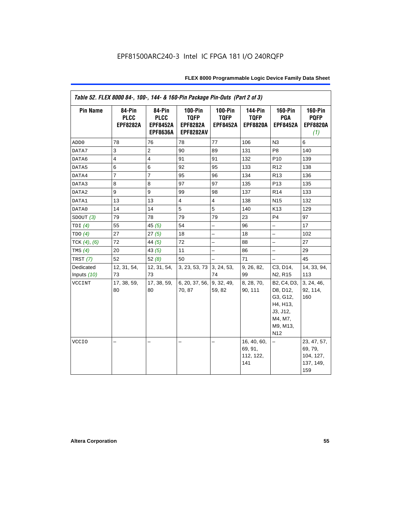| Table 52. FLEX 8000 84-, 100-, 144- & 160-Pin Package Pin-Outs (Part 2 of 3) |                                          |                                                             |                                                                 |                                             |                                                  |                                                                                                       |                                                         |
|------------------------------------------------------------------------------|------------------------------------------|-------------------------------------------------------------|-----------------------------------------------------------------|---------------------------------------------|--------------------------------------------------|-------------------------------------------------------------------------------------------------------|---------------------------------------------------------|
| <b>Pin Name</b>                                                              | 84-Pin<br><b>PLCC</b><br><b>EPF8282A</b> | 84-Pin<br><b>PLCC</b><br><b>EPF8452A</b><br><b>EPF8636A</b> | $100-Pin$<br><b>TQFP</b><br><b>EPF8282A</b><br><b>EPF8282AV</b> | $100-Pin$<br><b>TQFP</b><br><b>EPF8452A</b> | <b>144-Pin</b><br><b>TQFP</b><br><b>EPF8820A</b> | $160-Pin$<br>PGA<br><b>EPF8452A</b>                                                                   | <b>160-Pin</b><br><b>PQFP</b><br><b>EPF8820A</b><br>(1) |
| ADD <sub>0</sub>                                                             | 78                                       | 76                                                          | 78                                                              | 77                                          | 106                                              | N <sub>3</sub>                                                                                        | 6                                                       |
| DATA7                                                                        | 3                                        | $\overline{2}$                                              | 90                                                              | 89                                          | 131                                              | P <sub>8</sub>                                                                                        | 140                                                     |
| DATA6                                                                        | $\overline{4}$                           | $\overline{4}$                                              | 91                                                              | 91                                          | 132                                              | P <sub>10</sub>                                                                                       | 139                                                     |
| DATA5                                                                        | 6                                        | 6                                                           | 92                                                              | 95                                          | 133                                              | R <sub>12</sub>                                                                                       | 138                                                     |
| DATA4                                                                        | $\overline{7}$                           | $\overline{7}$                                              | 95                                                              | 96                                          | 134                                              | R <sub>13</sub>                                                                                       | 136                                                     |
| DATA3                                                                        | 8                                        | 8                                                           | 97                                                              | 97                                          | 135                                              | P <sub>13</sub>                                                                                       | 135                                                     |
| DATA2                                                                        | 9                                        | 9                                                           | 99                                                              | 98                                          | 137                                              | R <sub>14</sub>                                                                                       | 133                                                     |
| DATA1                                                                        | 13                                       | 13                                                          | $\overline{4}$                                                  | $\overline{4}$                              | 138                                              | N <sub>15</sub>                                                                                       | 132                                                     |
| DATA0                                                                        | 14                                       | 14                                                          | 5                                                               | 5                                           | 140                                              | K13                                                                                                   | 129                                                     |
| SDOUT $(3)$                                                                  | 79                                       | 78                                                          | 79                                                              | 79                                          | 23                                               | P <sub>4</sub>                                                                                        | 97                                                      |
| TDI $(4)$                                                                    | 55                                       | 45 $(5)$                                                    | 54                                                              | $\overline{\phantom{0}}$                    | 96                                               | $\overline{\phantom{0}}$                                                                              | 17                                                      |
| TDO(4)                                                                       | 27                                       | 27(5)                                                       | 18                                                              | -                                           | 18                                               | $\overline{\phantom{0}}$                                                                              | 102                                                     |
| TCK $(4)$ , $(6)$                                                            | 72                                       | 44 $(5)$                                                    | 72                                                              | $\overline{a}$                              | 88                                               | $\overline{\phantom{0}}$                                                                              | 27                                                      |
| TMS $(4)$                                                                    | 20                                       | 43 $(5)$                                                    | 11                                                              | -                                           | 86                                               | -                                                                                                     | 29                                                      |
| TRST $(7)$                                                                   | 52                                       | 52(8)                                                       | 50                                                              | $\overline{a}$                              | 71                                               | $\overline{\phantom{0}}$                                                                              | 45                                                      |
| Dedicated                                                                    | 12, 31, 54,                              | 12, 31, 54,                                                 | 3, 23, 53, 73                                                   | 3, 24, 53,                                  | 9, 26, 82,                                       | C3, D14,                                                                                              | 14, 33, 94,                                             |
| Inputs $(10)$                                                                | 73                                       | 73                                                          |                                                                 | 74                                          | 99                                               | N <sub>2</sub> , R <sub>15</sub>                                                                      | 113                                                     |
| <b>VCCINT</b>                                                                | 17, 38, 59,<br>80                        | 17, 38, 59,<br>80                                           | 6, 20, 37, 56,<br>70, 87                                        | 9, 32, 49,<br>59, 82                        | 8, 28, 70,<br>90, 111                            | B2, C4, D3,<br>D8, D12,<br>G3, G12,<br>H4, H13,<br>J3, J12,<br>M4, M7,<br>M9, M13,<br>N <sub>12</sub> | 3, 24, 46,<br>92, 114,<br>160                           |
| <b>VCCIO</b>                                                                 | ▃                                        |                                                             |                                                                 | -                                           | 16, 40, 60,<br>69, 91,<br>112, 122,<br>141       | -                                                                                                     | 23, 47, 57,<br>69, 79,<br>104, 127,<br>137, 149,<br>159 |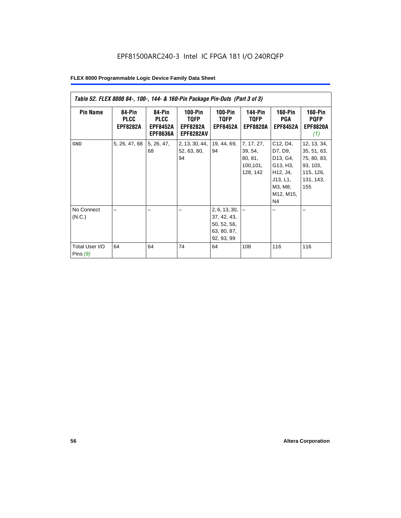| Table 52. FLEX 8000 84-, 100-, 144- & 160-Pin Package Pin-Outs (Part 3 of 3) |                                          |                                                             |                                                        |                                                                                |                                                           |                                                                                                   |                                                                                        |
|------------------------------------------------------------------------------|------------------------------------------|-------------------------------------------------------------|--------------------------------------------------------|--------------------------------------------------------------------------------|-----------------------------------------------------------|---------------------------------------------------------------------------------------------------|----------------------------------------------------------------------------------------|
| <b>Pin Name</b>                                                              | 84-Pin<br><b>PLCC</b><br><b>EPF8282A</b> | 84-Pin<br><b>PLCC</b><br><b>EPF8452A</b><br><b>EPF8636A</b> | 100-Pin<br>TQFP<br><b>EPF8282A</b><br><b>EPF8282AV</b> | $100-Pin$<br>TQFP<br><b>EPF8452A</b>                                           | <b>144-Pin</b><br>TQFP<br><b>EPF8820A</b>                 | <b>160-Pin</b><br>PGA<br><b>EPF8452A</b>                                                          | <b>160-Pin</b><br><b>PQFP</b><br><b>EPF8820A</b><br>(1)                                |
| <b>GND</b>                                                                   | 5, 26, 47, 68                            | 5, 26, 47,<br>68                                            | 2, 13, 30, 44,<br>52, 63, 80,<br>94                    | 19, 44, 69,<br>94                                                              | 7, 17, 27,<br>39, 54,<br>80, 81,<br>100, 101,<br>128, 142 | C12, D4,<br>D7, D9,<br>D13, G4,<br>G13, H3,<br>H12, J4,<br>J13, L1,<br>M3, M8,<br>M12, M15,<br>N4 | 12, 13, 34,<br>35, 51, 63,<br>75, 80, 83,<br>93, 103,<br>115, 126,<br>131, 143,<br>155 |
| No Connect<br>(N.C.)<br>Total User I/O<br>Pins $(9)$                         | 64                                       | 64                                                          | 74                                                     | 2, 6, 13, 30,<br>37, 42, 43,<br>50, 52, 56,<br>63, 80, 87,<br>92, 93, 99<br>64 | 108                                                       | 116                                                                                               | 116                                                                                    |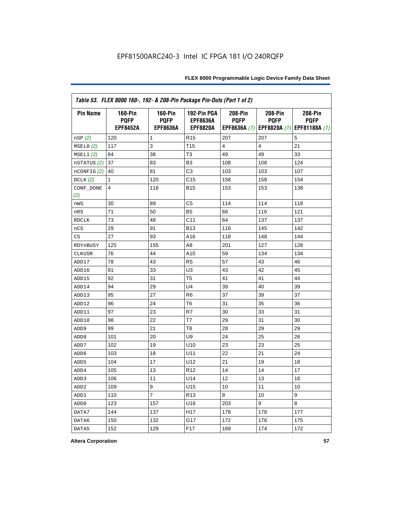| Table 53. FLEX 8000 160-, 192- & 208-Pin Package Pin-Outs (Part 1 of 2) |                                                  |                                                  |                                                   |                        |                        |                                                                   |
|-------------------------------------------------------------------------|--------------------------------------------------|--------------------------------------------------|---------------------------------------------------|------------------------|------------------------|-------------------------------------------------------------------|
| <b>Pin Name</b>                                                         | <b>160-Pin</b><br><b>PQFP</b><br><b>EPF8452A</b> | <b>160-Pin</b><br><b>PQFP</b><br><b>EPF8636A</b> | 192-Pin PGA<br><b>EPF8636A</b><br><b>EPF8820A</b> | 208-Pin<br><b>PQFP</b> | 208-Pin<br><b>PQFP</b> | 208-Pin<br><b>PQFP</b><br>EPF8636A (1) EPF8820A (1) EPF81188A (1) |
| nSP (2)                                                                 | 120                                              | 1                                                | R <sub>15</sub>                                   | 207                    | 207                    | 5                                                                 |
| MSELO(2)                                                                | 117                                              | 3                                                | T <sub>15</sub>                                   | 4                      | 4                      | 21                                                                |
| MSEL1(2)                                                                | 84                                               | 38                                               | T <sub>3</sub>                                    | 49                     | 49                     | 33                                                                |
| nSTATUS (2)                                                             | 37                                               | 83                                               | B <sub>3</sub>                                    | 108                    | 108                    | 124                                                               |
| nCONFIG (2)                                                             | 40                                               | 81                                               | C <sub>3</sub>                                    | 103                    | 103                    | 107                                                               |
| DCLK $(2)$                                                              | 1                                                | 120                                              | C <sub>15</sub>                                   | 158                    | 158                    | 154                                                               |
| CONF_DONE<br>(2)                                                        | 4                                                | 118                                              | <b>B15</b>                                        | 153                    | 153                    | 138                                                               |
| nWS                                                                     | 30                                               | 89                                               | C5                                                | 114                    | 114                    | 118                                                               |
| nRS                                                                     | 71                                               | 50                                               | B <sub>5</sub>                                    | 66                     | 116                    | 121                                                               |
| <b>RDCLK</b>                                                            | 73                                               | 48                                               | C <sub>11</sub>                                   | 64                     | 137                    | 137                                                               |
| nCS                                                                     | 29                                               | 91                                               | <b>B13</b>                                        | 116                    | 145                    | 142                                                               |
| CS                                                                      | 27                                               | 93                                               | A16                                               | 118                    | 148                    | 144                                                               |
| RDYnBUSY                                                                | 125                                              | 155                                              | A <sub>8</sub>                                    | 201                    | 127                    | 128                                                               |
| CLKUSR                                                                  | 76                                               | 44                                               | A10                                               | 59                     | 134                    | 134                                                               |
| ADD17                                                                   | 78                                               | 43                                               | R <sub>5</sub>                                    | 57                     | 43                     | 46                                                                |
| ADD16                                                                   | 91                                               | 33                                               | U <sub>3</sub>                                    | 43                     | 42                     | 45                                                                |
| ADD15                                                                   | 92                                               | 31                                               | T <sub>5</sub>                                    | 41                     | 41                     | 44                                                                |
| ADD14                                                                   | 94                                               | 29                                               | U <sub>4</sub>                                    | 39                     | 40                     | 39                                                                |
| ADD13                                                                   | 95                                               | 27                                               | R <sub>6</sub>                                    | 37                     | 39                     | 37                                                                |
| ADD12                                                                   | 96                                               | 24                                               | T <sub>6</sub>                                    | 31                     | 35                     | 36                                                                |
| ADD11                                                                   | 97                                               | 23                                               | R7                                                | 30                     | 33                     | 31                                                                |
| ADD10                                                                   | 98                                               | 22                                               | T7                                                | 29                     | 31                     | 30                                                                |
| ADD <sub>9</sub>                                                        | 99                                               | 21                                               | T <sub>8</sub>                                    | 28                     | 29                     | 29                                                                |
| ADD <sub>8</sub>                                                        | 101                                              | 20                                               | U <sub>9</sub>                                    | 24                     | 25                     | 26                                                                |
| ADD7                                                                    | 102                                              | 19                                               | U10                                               | 23                     | 23                     | 25                                                                |
| ADD <sub>6</sub>                                                        | 103                                              | 18                                               | U11                                               | 22                     | 21                     | 24                                                                |
| ADD <sub>5</sub>                                                        | 104                                              | 17                                               | U12                                               | 21                     | 19                     | 18                                                                |
| ADD4                                                                    | 105                                              | 13                                               | R <sub>12</sub>                                   | 14                     | 14                     | 17                                                                |
| ADD <sub>3</sub>                                                        | 106                                              | 11                                               | U14                                               | 12                     | 13                     | 16                                                                |
| ADD <sub>2</sub>                                                        | 109                                              | 9                                                | U <sub>15</sub>                                   | 10                     | 11                     | 10                                                                |
| ADD1                                                                    | 110                                              | $\overline{7}$                                   | R <sub>13</sub>                                   | 8                      | 10                     | 9                                                                 |
| ADD <sub>0</sub>                                                        | 123                                              | 157                                              | U16                                               | 203                    | 9                      | 8                                                                 |
| DATA7                                                                   | 144                                              | 137                                              | H <sub>17</sub>                                   | 178                    | 178                    | 177                                                               |
| DATA6                                                                   | 150                                              | 132                                              | G17                                               | 172                    | 176                    | 175                                                               |
| DATA5                                                                   | 152                                              | 129                                              | F <sub>17</sub>                                   | 169                    | 174                    | 172                                                               |

**Altera Corporation 57**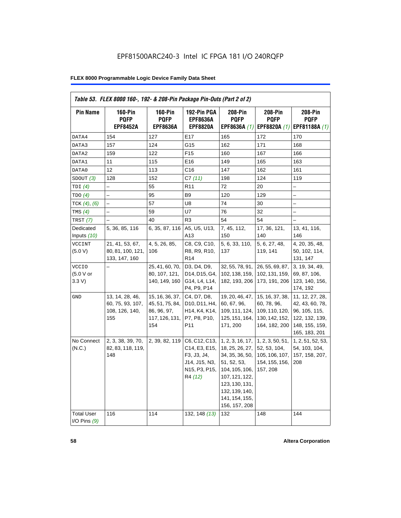| <b>Pin Name</b>                     | <b>160-Pin</b><br><b>PQFP</b><br><b>EPF8452A</b>             | <b>160-Pin</b><br><b>PQFP</b><br><b>EPF8636A</b>                           | 192-Pin PGA<br><b>EPF8636A</b><br><b>EPF8820A</b>                                                                                                  | 208-Pin<br><b>PQFP</b><br>EPF8636A (1)                                                                                                                                           | 208-Pin<br><b>PQFP</b><br>EPF8820A (1)                                              | 208-Pin<br><b>PQFP</b><br>EPF81188A (1)                                                                  |
|-------------------------------------|--------------------------------------------------------------|----------------------------------------------------------------------------|----------------------------------------------------------------------------------------------------------------------------------------------------|----------------------------------------------------------------------------------------------------------------------------------------------------------------------------------|-------------------------------------------------------------------------------------|----------------------------------------------------------------------------------------------------------|
| DATA4                               | 154                                                          | 127                                                                        | E17                                                                                                                                                | 165                                                                                                                                                                              | 172                                                                                 | 170                                                                                                      |
| DATA3                               | 157                                                          | 124                                                                        | G15                                                                                                                                                | 162                                                                                                                                                                              | 171                                                                                 | 168                                                                                                      |
| DATA2                               | 159                                                          | 122                                                                        | F <sub>15</sub>                                                                                                                                    | 160                                                                                                                                                                              | 167                                                                                 | 166                                                                                                      |
| DATA1                               | 11                                                           | 115                                                                        | E16                                                                                                                                                | 149                                                                                                                                                                              | 165                                                                                 | 163                                                                                                      |
| DATA0                               | 12                                                           | 113                                                                        | C16                                                                                                                                                | 147                                                                                                                                                                              | 162                                                                                 | 161                                                                                                      |
| SDOUT(3)                            | 128                                                          | 152                                                                        | C7(11)                                                                                                                                             | 198                                                                                                                                                                              | 124                                                                                 | 119                                                                                                      |
| TDI $(4)$                           | $\overline{\phantom{0}}$                                     | 55                                                                         | R <sub>11</sub>                                                                                                                                    | 72                                                                                                                                                                               | 20                                                                                  |                                                                                                          |
| TDO(4)                              | $\overline{\phantom{0}}$                                     | 95                                                                         | B <sub>9</sub>                                                                                                                                     | 120                                                                                                                                                                              | 129                                                                                 | -                                                                                                        |
| TCK $(4)$ , $(6)$                   |                                                              | 57                                                                         | U8                                                                                                                                                 | 74                                                                                                                                                                               | 30                                                                                  |                                                                                                          |
| TMS $(4)$                           |                                                              | 59                                                                         | U7                                                                                                                                                 | 76                                                                                                                                                                               | 32                                                                                  |                                                                                                          |
| TRST $(7)$                          |                                                              | 40                                                                         | R <sub>3</sub>                                                                                                                                     | 54                                                                                                                                                                               | 54                                                                                  |                                                                                                          |
| Dedicated<br>Inputs (10)            | 5, 36, 85, 116                                               | 6, 35, 87, 116                                                             | A5, U5, U13,<br>A13                                                                                                                                | 7, 45, 112,<br>150                                                                                                                                                               | 17, 36, 121,<br>140                                                                 | 13, 41, 116,<br>146                                                                                      |
| <b>VCCINT</b><br>(5.0 V)            | 21, 41, 53, 67,<br>80, 81, 100, 121,<br>133, 147, 160        | 4, 5, 26, 85,<br>106                                                       | C8, C9, C10,<br>R8, R9, R10,<br>R <sub>14</sub>                                                                                                    | 5, 6, 33, 110,<br>137                                                                                                                                                            | 5, 6, 27, 48,<br>119, 141                                                           | 4, 20, 35, 48,<br>50, 102, 114,<br>131, 147                                                              |
| <b>VCCIO</b><br>(5.0 V or<br>3.3 V  |                                                              | 25, 41, 60, 70,<br>80, 107, 121,<br>140, 149, 160                          | D3, D4, D9,<br>D14, D15, G4,<br>G14, L4, L14,<br>P4, P9, P14                                                                                       | 32, 55, 78, 91,<br>102, 138, 159,<br>182, 193, 206                                                                                                                               | 26, 55, 69, 87,<br>102, 131, 159,<br>173, 191, 206                                  | 3, 19, 34, 49,<br>69, 87, 106,<br>123, 140, 156,<br>174, 192                                             |
| GND                                 | 13, 14, 28, 46,<br>60, 75, 93, 107,<br>108, 126, 140,<br>155 | 15, 16, 36, 37,<br>45, 51, 75, 84,<br>86, 96, 97,<br>117, 126, 131,<br>154 | C4, D7, D8,<br>D <sub>10</sub> , D <sub>11</sub> , H <sub>4</sub> ,<br>H <sub>14</sub> , K <sub>4</sub> , K <sub>14</sub> ,<br>P7, P8, P10,<br>P11 | 19, 20, 46, 47,<br>60, 67, 96,<br>109, 111, 124,<br>125, 151, 164,<br>171, 200                                                                                                   | 15, 16, 37, 38,<br>60, 78, 96,<br>109, 110, 120,<br>130, 142, 152,<br>164, 182, 200 | 11, 12, 27, 28,<br>42, 43, 60, 78,<br>96, 105, 115,<br>122, 132, 139,<br>148, 155, 159,<br>165, 183, 201 |
| No Connect<br>(N.C.)                | 2, 3, 38, 39, 70,<br>82, 83, 118, 119,<br>148                | 2, 39, 82, 119                                                             | C6, C12, C13,<br>C14, E3, E15,<br>F3, J3, J4,<br>J14, J15, N3,<br>N15, P3, P15,<br>R4 (12)                                                         | 1, 2, 3, 16, 17,<br>18, 25, 26, 27,<br>34, 35, 36, 50,<br>51, 52, 53,<br>104, 105, 106,<br>107, 121, 122,<br>123, 130, 131,<br>132, 139, 140,<br>141, 154, 155,<br>156, 157, 208 | 1, 2, 3, 50, 51,<br>52, 53, 104,<br>105, 106, 107,<br>154, 155, 156,<br>157, 208    | 1, 2, 51, 52, 53,<br>54, 103, 104,<br>157, 158, 207,<br>208                                              |
| <b>Total User</b><br>I/O Pins $(9)$ | 116                                                          | 114                                                                        | 132, 148 (13)                                                                                                                                      | 132                                                                                                                                                                              | 148                                                                                 | 144                                                                                                      |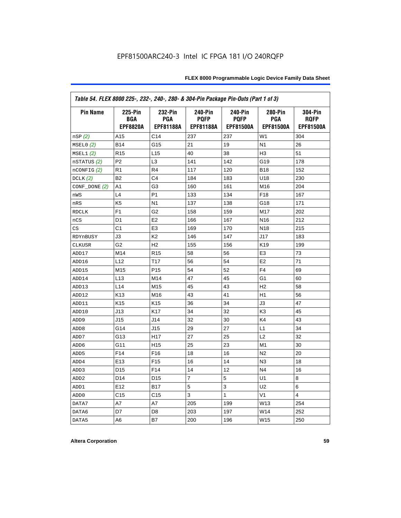| Table 54. FLEX 8000 225-, 232-, 240-, 280- & 304-Pin Package Pin-Outs (Part 1 of 3) |                                                 |                                    |                                                   |                                                   |                                    |                                            |
|-------------------------------------------------------------------------------------|-------------------------------------------------|------------------------------------|---------------------------------------------------|---------------------------------------------------|------------------------------------|--------------------------------------------|
| <b>Pin Name</b>                                                                     | <b>225-Pin</b><br><b>BGA</b><br><b>EPF8820A</b> | 232-Pin<br><b>PGA</b><br>EPF81188A | <b>240-Pin</b><br><b>PQFP</b><br><b>EPF81188A</b> | <b>240-Pin</b><br><b>PQFP</b><br><b>EPF81500A</b> | 280-Pin<br><b>PGA</b><br>EPF81500A | 304-Pin<br><b>ROFP</b><br><b>EPF81500A</b> |
| nSP(2)                                                                              | A15                                             | C <sub>14</sub>                    | 237                                               | 237                                               | W <sub>1</sub>                     | 304                                        |
| MSELO(2)                                                                            | <b>B14</b>                                      | G15                                | 21                                                | 19                                                | N <sub>1</sub>                     | 26                                         |
| MSEL1(2)                                                                            | R <sub>15</sub>                                 | L <sub>15</sub>                    | 40                                                | 38                                                | H <sub>3</sub>                     | 51                                         |
| nSTATUS (2)                                                                         | P <sub>2</sub>                                  | L <sub>3</sub>                     | 141                                               | 142                                               | G19                                | 178                                        |
| $n$ CONFIG $(2)$                                                                    | R <sub>1</sub>                                  | R <sub>4</sub>                     | 117                                               | 120                                               | <b>B18</b>                         | 152                                        |
| DCLK $(2)$                                                                          | B <sub>2</sub>                                  | C <sub>4</sub>                     | 184                                               | 183                                               | U18                                | 230                                        |
| $CONF\_DONE(2)$                                                                     | A1                                              | G3                                 | 160                                               | 161                                               | M16                                | 204                                        |
| nWS                                                                                 | L4                                              | P <sub>1</sub>                     | 133                                               | 134                                               | F18                                | 167                                        |
| nRS                                                                                 | K <sub>5</sub>                                  | N <sub>1</sub>                     | 137                                               | 138                                               | G18                                | 171                                        |
| <b>RDCLK</b>                                                                        | F <sub>1</sub>                                  | G <sub>2</sub>                     | 158                                               | 159                                               | M17                                | 202                                        |
| nCS                                                                                 | D <sub>1</sub>                                  | E <sub>2</sub>                     | 166                                               | 167                                               | N <sub>16</sub>                    | 212                                        |
| CS                                                                                  | C <sub>1</sub>                                  | E <sub>3</sub>                     | 169                                               | 170                                               | N <sub>18</sub>                    | 215                                        |
| RDYnBUSY                                                                            | J3                                              | K <sub>2</sub>                     | 146                                               | 147                                               | J17                                | 183                                        |
| <b>CLKUSR</b>                                                                       | G <sub>2</sub>                                  | H <sub>2</sub>                     | 155                                               | 156                                               | K <sub>19</sub>                    | 199                                        |
| ADD17                                                                               | M14                                             | R <sub>15</sub>                    | 58                                                | 56                                                | E <sub>3</sub>                     | 73                                         |
| ADD16                                                                               | L12                                             | T <sub>17</sub>                    | 56                                                | 54                                                | E <sub>2</sub>                     | 71                                         |
| ADD15                                                                               | M15                                             | P <sub>15</sub>                    | 54                                                | 52                                                | F4                                 | 69                                         |
| ADD14                                                                               | L13                                             | M14                                | 47                                                | 45                                                | G1                                 | 60                                         |
| ADD13                                                                               | L <sub>14</sub>                                 | M15                                | 45                                                | 43                                                | H <sub>2</sub>                     | 58                                         |
| ADD12                                                                               | K <sub>13</sub>                                 | M16                                | 43                                                | 41                                                | H1                                 | 56                                         |
| ADD11                                                                               | K <sub>15</sub>                                 | K <sub>15</sub>                    | 36                                                | 34                                                | JЗ                                 | 47                                         |
| ADD10                                                                               | J13                                             | K <sub>17</sub>                    | 34                                                | 32                                                | K <sub>3</sub>                     | 45                                         |
| ADD <sub>9</sub>                                                                    | J15                                             | J14                                | 32                                                | 30                                                | K4                                 | 43                                         |
| ADD <sub>8</sub>                                                                    | G14                                             | J15                                | 29                                                | 27                                                | L1                                 | 34                                         |
| ADD7                                                                                | G13                                             | H <sub>17</sub>                    | 27                                                | 25                                                | L2                                 | 32                                         |
| ADD <sub>6</sub>                                                                    | G11                                             | H <sub>15</sub>                    | 25                                                | 23                                                | M1                                 | 30                                         |
| ADD <sub>5</sub>                                                                    | F <sub>14</sub>                                 | F <sub>16</sub>                    | 18                                                | 16                                                | N <sub>2</sub>                     | 20                                         |
| ADD4                                                                                | E <sub>13</sub>                                 | F <sub>15</sub>                    | 16                                                | 14                                                | N <sub>3</sub>                     | 18                                         |
| ADD3                                                                                | D <sub>15</sub>                                 | F <sub>14</sub>                    | 14                                                | 12                                                | N <sub>4</sub>                     | 16                                         |
| ADD <sub>2</sub>                                                                    | D <sub>14</sub>                                 | D <sub>15</sub>                    | 7                                                 | 5                                                 | U <sub>1</sub>                     | 8                                          |
| ADD1                                                                                | E12                                             | <b>B17</b>                         | 5                                                 | 3                                                 | U2                                 | 6                                          |
| ADD <sub>0</sub>                                                                    | C <sub>15</sub>                                 | C <sub>15</sub>                    | 3                                                 | 1                                                 | V <sub>1</sub>                     | 4                                          |
| DATA7                                                                               | A7                                              | A7                                 | 205                                               | 199                                               | W13                                | 254                                        |
| DATA6                                                                               | D7                                              | D8                                 | 203                                               | 197                                               | W14                                | 252                                        |
| DATA5                                                                               | A6                                              | B7                                 | 200                                               | 196                                               | W15                                | 250                                        |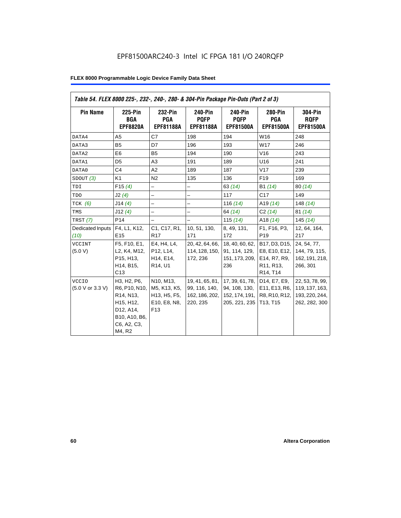| Table 54. FLEX 8000 225-, 232-, 240-, 280- & 304-Pin Package Pin-Outs (Part 2 of 3) |                                                                                                                                         |                                                                                                     |                                                                |                                                                     |                                                                                                                            |                                                                      |
|-------------------------------------------------------------------------------------|-----------------------------------------------------------------------------------------------------------------------------------------|-----------------------------------------------------------------------------------------------------|----------------------------------------------------------------|---------------------------------------------------------------------|----------------------------------------------------------------------------------------------------------------------------|----------------------------------------------------------------------|
| <b>Pin Name</b>                                                                     | 225-Pin<br><b>BGA</b><br><b>EPF8820A</b>                                                                                                | 232-Pin<br><b>PGA</b><br><b>EPF81188A</b>                                                           | 240-Pin<br><b>POFP</b><br><b>EPF81188A</b>                     | 240-Pin<br><b>POFP</b><br><b>EPF81500A</b>                          | <b>280-Pin</b><br><b>PGA</b><br><b>EPF81500A</b>                                                                           | <b>304-Pin</b><br><b>RQFP</b><br><b>EPF81500A</b>                    |
| DATA4                                                                               | A <sub>5</sub>                                                                                                                          | C7                                                                                                  | 198                                                            | 194                                                                 | W16                                                                                                                        | 248                                                                  |
| DATA3                                                                               | <b>B5</b>                                                                                                                               | D7                                                                                                  | 196                                                            | 193                                                                 | W17                                                                                                                        | 246                                                                  |
| DATA2                                                                               | E6                                                                                                                                      | <b>B5</b>                                                                                           | 194                                                            | 190                                                                 | V16                                                                                                                        | 243                                                                  |
| DATA1                                                                               | D <sub>5</sub>                                                                                                                          | A <sub>3</sub>                                                                                      | 191                                                            | 189                                                                 | U16                                                                                                                        | 241                                                                  |
| DATA0                                                                               | C <sub>4</sub>                                                                                                                          | A2                                                                                                  | 189                                                            | 187                                                                 | V17                                                                                                                        | 239                                                                  |
| SDOUT(3)                                                                            | K <sub>1</sub>                                                                                                                          | N <sub>2</sub>                                                                                      | 135                                                            | 136                                                                 | F <sub>19</sub>                                                                                                            | 169                                                                  |
| TDI                                                                                 | F15(4)                                                                                                                                  | -                                                                                                   | -                                                              | 63(14)                                                              | B1 (14)                                                                                                                    | 80(14)                                                               |
| TDO                                                                                 | J2(4)                                                                                                                                   |                                                                                                     |                                                                | 117                                                                 | C17                                                                                                                        | 149                                                                  |
| $TCK$ (6)                                                                           | J14(4)                                                                                                                                  | -                                                                                                   | $\overline{\phantom{0}}$                                       | 116 $(14)$                                                          | A <sub>19</sub> $(14)$                                                                                                     | 148 $(14)$                                                           |
| TMS                                                                                 | J12(4)                                                                                                                                  | $\overline{\phantom{0}}$                                                                            | $\overline{\phantom{0}}$                                       | 64 (14)                                                             | C2(14)                                                                                                                     | 81(14)                                                               |
| TRST (7)                                                                            | P <sub>14</sub>                                                                                                                         |                                                                                                     | $\overline{\phantom{0}}$                                       | 115 $(14)$                                                          | A18 $(14)$                                                                                                                 | 145(14)                                                              |
| Dedicated Inputs<br>(10)                                                            | F4, L1, K12,<br>E <sub>15</sub>                                                                                                         | C1, C17, R1,<br>R <sub>17</sub>                                                                     | 10, 51, 130,<br>171                                            | 8, 49, 131,<br>172                                                  | F1, F16, P3,<br>P <sub>19</sub>                                                                                            | 12, 64, 164,<br>217                                                  |
| <b>VCCINT</b><br>(5.0 V)                                                            | F5, F10, E1,<br>L2, K4, M12,<br>P15, H13,<br>H14, B15,<br>C13                                                                           | E4, H4, L4,<br>P12, L14,<br>H <sub>14</sub> , E <sub>14</sub> ,<br>R <sub>14</sub> , U <sub>1</sub> | 20, 42, 64, 66,<br>114, 128, 150,<br>172, 236                  | 18, 40, 60, 62,<br>91, 114, 129,<br>151, 173, 209,<br>236           | B17, D3, D15,<br>E8, E10, E12,<br>E14, R7, R9,<br>R <sub>11</sub> , R <sub>13</sub> ,<br>R <sub>14</sub> , T <sub>14</sub> | 24, 54, 77,<br>144, 79, 115,<br>162, 191, 218,<br>266, 301           |
| <b>VCCIO</b><br>(5.0 V or 3.3 V)                                                    | H3, H2, P6,<br>R6, P10, N10,<br>R <sub>14</sub> , N <sub>13</sub> ,<br>H15, H12,<br>D12, A14,<br>B10, A10, B6,<br>C6, A2, C3,<br>M4, R2 | N10, M13,<br>M5, K13, K5,<br>H13, H5, F5,<br>E10, E8, N8,<br>F13                                    | 19, 41, 65, 81,<br>99, 116, 140,<br>162, 186, 202,<br>220, 235 | 17, 39, 61, 78,<br>94, 108, 130,<br>152, 174, 191,<br>205, 221, 235 | D14, E7, E9,<br>E11, E13, R6,<br>R8, R10, R12,<br>T13, T15                                                                 | 22, 53, 78, 99,<br>119, 137, 163,<br>193, 220, 244,<br>262, 282, 300 |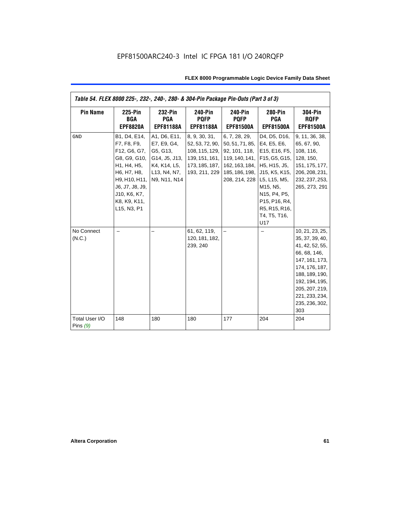| Table 54. FLEX 8000 225-, 232-, 240-, 280- & 304-Pin Package Pin-Outs (Part 3 of 3) |                                                                                                                                                                              |                                                                                                          |                                                                                                         |                                                                                                                                               |                                                                                                                                                                    |                                                                                                                                                                                                            |
|-------------------------------------------------------------------------------------|------------------------------------------------------------------------------------------------------------------------------------------------------------------------------|----------------------------------------------------------------------------------------------------------|---------------------------------------------------------------------------------------------------------|-----------------------------------------------------------------------------------------------------------------------------------------------|--------------------------------------------------------------------------------------------------------------------------------------------------------------------|------------------------------------------------------------------------------------------------------------------------------------------------------------------------------------------------------------|
| <b>Pin Name</b>                                                                     | <b>225-Pin</b><br><b>BGA</b><br><b>EPF8820A</b>                                                                                                                              | 232-Pin<br><b>PGA</b><br><b>EPF81188A</b>                                                                | <b>240-Pin</b><br><b>POFP</b><br><b>EPF81188A</b>                                                       | <b>240-Pin</b><br><b>PQFP</b><br><b>EPF81500A</b>                                                                                             | <b>280-Pin</b><br><b>PGA</b><br><b>EPF81500A</b>                                                                                                                   | <b>304-Pin</b><br><b>ROFP</b><br><b>EPF81500A</b>                                                                                                                                                          |
| <b>GND</b>                                                                          | B1, D4, E14,<br>F7, F8, F9,<br>F12, G6, G7,<br>G8, G9, G10,<br>H1, H4, H5,<br>H6, H7, H8,<br>H9, H10, H11,<br>J6, J7, J8, J9,<br>J10, K6, K7,<br>K8, K9, K11,<br>L15, N3, P1 | A1, D6, E11,<br>E7, E9, G4,<br>G5, G13,<br>G14, J5, J13,<br>K4, K14, L5,<br>L13, N4, N7,<br>N9, N11, N14 | 8, 9, 30, 31,<br>52, 53, 72, 90,<br>108, 115, 129,<br>139, 151, 161,<br>173, 185, 187,<br>193, 211, 229 | 6, 7, 28, 29,<br>50, 51, 71, 85, E4, E5, E6,<br>92, 101, 118,<br>162, 163, 184, H5, H15, J5,<br>185, 186, 198, J15, K5, K15,<br>208, 214, 228 | D4, D5, D16,<br>E15, E16, F5,<br>119, 140, 141, F15, G5, G15,<br>L5, L15, M5,<br>M15, N5,<br>N15, P4, P5,<br>P15, P16, R4,<br>R5, R15, R16,<br>T4, T5, T16,<br>U17 | 9, 11, 36, 38,<br>65, 67, 90,<br>108, 116,<br>128, 150,<br>151, 175, 177,<br>206, 208, 231,<br>232, 237, 253,<br>265, 273, 291                                                                             |
| No Connect<br>(N.C.)                                                                |                                                                                                                                                                              |                                                                                                          | 61, 62, 119,<br>120, 181, 182,<br>239, 240                                                              |                                                                                                                                               |                                                                                                                                                                    | 10, 21, 23, 25,<br>35, 37, 39, 40,<br>41, 42, 52, 55,<br>66, 68, 146,<br>147, 161, 173,<br>174, 176, 187,<br>188, 189, 190,<br>192, 194, 195,<br>205, 207, 219,<br>221, 233, 234,<br>235, 236, 302,<br>303 |
| Total User I/O<br>Pins $(9)$                                                        | 148                                                                                                                                                                          | 180                                                                                                      | 180                                                                                                     | 177                                                                                                                                           | 204                                                                                                                                                                | 204                                                                                                                                                                                                        |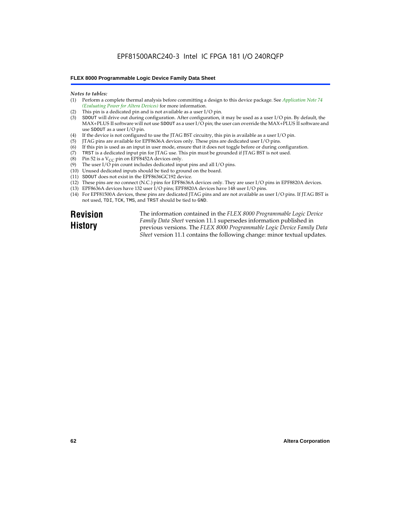### *Notes to tables:*

- (1) Perform a complete thermal analysis before committing a design to this device package. See *Application Note 74 (Evaluating Power for Altera Devices)* for more information.
- (2) This pin is a dedicated pin and is not available as a user I/O pin.
- (3) SDOUT will drive out during configuration. After configuration, it may be used as a user I/O pin. By default, the MAX+PLUS II software will not use SDOUT as a user I/O pin; the user can override the MAX+PLUS II software and use SDOUT as a user I/O pin.
- (4) If the device is not configured to use the JTAG BST circuitry, this pin is available as a user I/O pin.
- (5) JTAG pins are available for EPF8636A devices only. These pins are dedicated user I/O pins.
- $(6)$  If this pin is used as an input in user mode, ensure that it does not toggle before or during configuration.
- (7) TRST is a dedicated input pin for JTAG use. This pin must be grounded if JTAG BST is not used.
- (8) Pin 52 is a  $V_{CC}$  pin on EPF8452A devices only.
- (9) The user I/O pin count includes dedicated input pins and all I/O pins.
- (10) Unused dedicated inputs should be tied to ground on the board.
- (11) SDOUT does not exist in the EPF8636GC192 device.
- (12) These pins are no connect (N.C.) pins for EPF8636A devices only. They are user I/O pins in EPF8820A devices.
- (13) EPF8636A devices have 132 user I/O pins; EPF8820A devices have 148 user I/O pins.
- (14) For EPF81500A devices, these pins are dedicated JTAG pins and are not available as user I/O pins. If JTAG BST is not used, TDI, TCK, TMS, and TRST should be tied to GND.

**Revision History**

The information contained in the *FLEX 8000 Programmable Logic Device Family Data Sheet* version 11.1 supersedes information published in previous versions. The *FLEX 8000 Programmable Logic Device Family Data Sheet* version 11.1 contains the following change: minor textual updates.